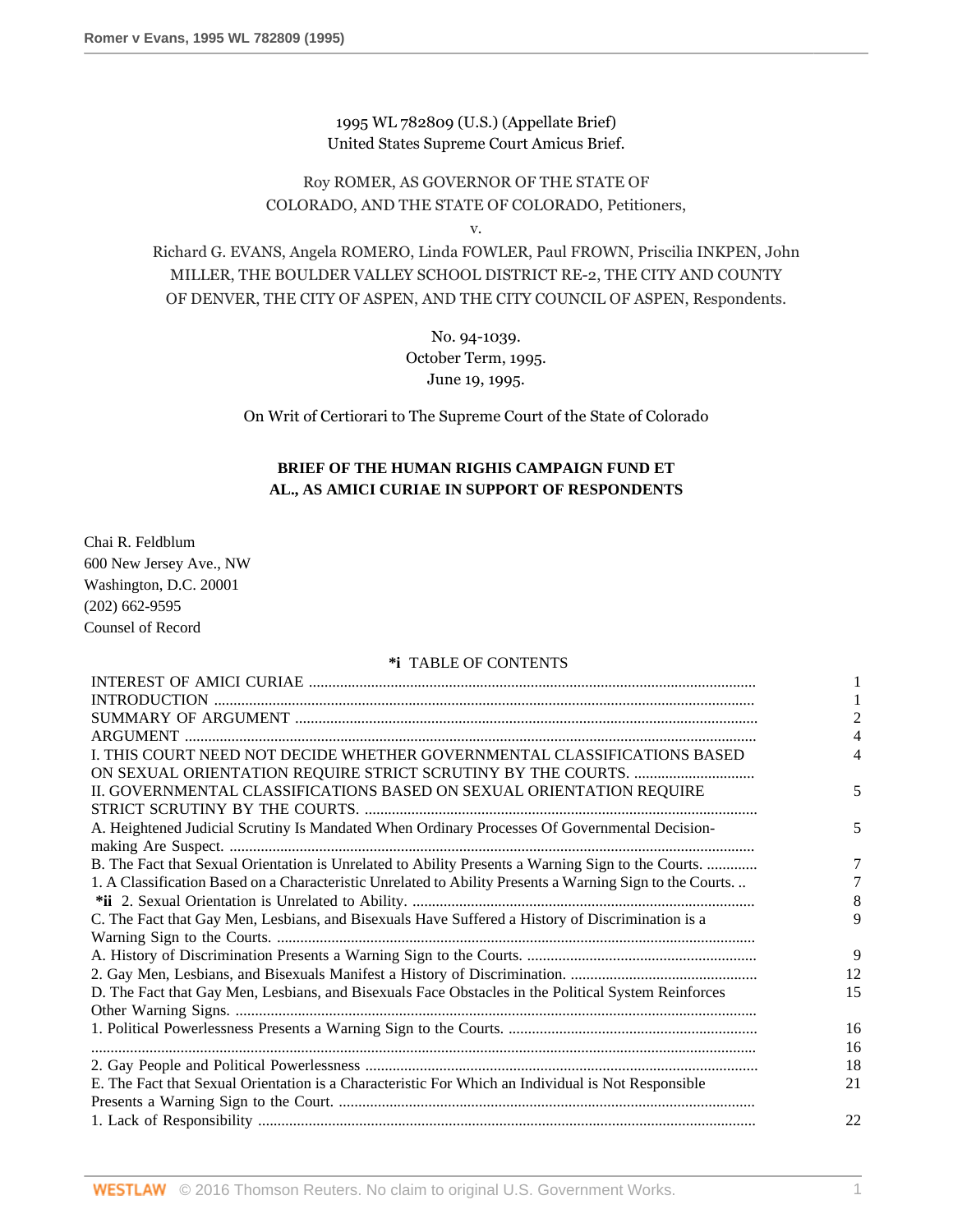1995 WL 782809 (U.S.) (Appellate Brief) United States Supreme Court Amicus Brief.

# Roy ROMER, AS GOVERNOR OF THE STATE OF COLORADO, AND THE STATE OF COLORADO, Petitioners,

v.

Richard G. EVANS, Angela ROMERO, Linda FOWLER, Paul FROWN, Priscilia INKPEN, John MILLER, THE BOULDER VALLEY SCHOOL DISTRICT RE-2, THE CITY AND COUNTY OF DENVER, THE CITY OF ASPEN, AND THE CITY COUNCIL OF ASPEN, Respondents.

> No. 94-1039. October Term, 1995. June 19, 1995.

On Writ of Certiorari to The Supreme Court of the State of Colorado

## **BRIEF OF THE HUMAN RIGHIS CAMPAIGN FUND ET AL., AS AMICI CURIAE IN SUPPORT OF RESPONDENTS**

Chai R. Feldblum 600 New Jersey Ave., NW Washington, D.C. 20001 (202) 662-9595 Counsel of Record

### **\*i** TABLE OF CONTENTS

|                                                                                                           | 4  |
|-----------------------------------------------------------------------------------------------------------|----|
| I. THIS COURT NEED NOT DECIDE WHETHER GOVERNMENTAL CLASSIFICATIONS BASED                                  |    |
|                                                                                                           |    |
| II. GOVERNMENTAL CLASSIFICATIONS BASED ON SEXUAL ORIENTATION REQUIRE                                      | 5  |
|                                                                                                           |    |
| A. Heightened Judicial Scrutiny Is Mandated When Ordinary Processes Of Governmental Decision-             | 5  |
|                                                                                                           |    |
| B. The Fact that Sexual Orientation is Unrelated to Ability Presents a Warning Sign to the Courts.        | 7  |
| 1. A Classification Based on a Characteristic Unrelated to Ability Presents a Warning Sign to the Courts. |    |
|                                                                                                           | 8  |
| C. The Fact that Gay Men, Lesbians, and Bisexuals Have Suffered a History of Discrimination is a          | 9  |
|                                                                                                           |    |
|                                                                                                           | 9  |
|                                                                                                           | 12 |
| D. The Fact that Gay Men, Lesbians, and Bisexuals Face Obstacles in the Political System Reinforces       | 15 |
|                                                                                                           |    |
|                                                                                                           | 16 |
|                                                                                                           | 16 |
|                                                                                                           | 18 |
| E. The Fact that Sexual Orientation is a Characteristic For Which an Individual is Not Responsible        | 21 |
|                                                                                                           |    |
|                                                                                                           | 22 |
|                                                                                                           |    |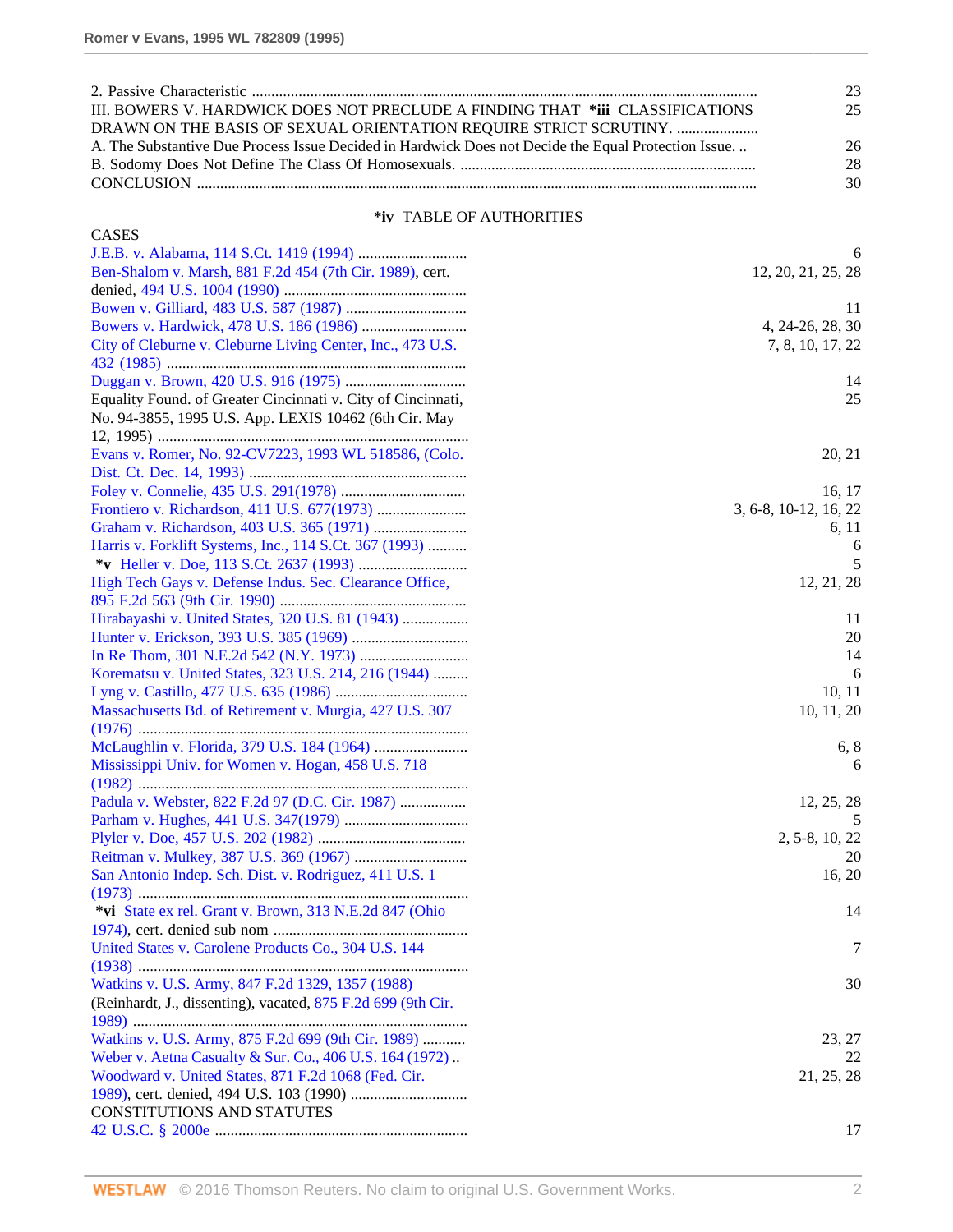|                                                                                                      | 23 |
|------------------------------------------------------------------------------------------------------|----|
| III. BOWERS V. HARDWICK DOES NOT PRECLUDE A FINDING THAT *iii CLASSIFICATIONS                        | 25 |
| DRAWN ON THE BASIS OF SEXUAL ORIENTATION REOUIRE STRICT SCRUTINY.                                    |    |
| A. The Substantive Due Process Issue Decided in Hardwick Does not Decide the Equal Protection Issue. | 26 |
|                                                                                                      | 28 |
|                                                                                                      | 30 |

## **\*iv** TABLE OF AUTHORITIES

| <b>CASES</b>                                                 |                       |
|--------------------------------------------------------------|-----------------------|
|                                                              | 6                     |
| Ben-Shalom v. Marsh, 881 F.2d 454 (7th Cir. 1989), cert.     | 12, 20, 21, 25, 28    |
|                                                              |                       |
|                                                              | 11                    |
|                                                              | 4, 24-26, 28, 30      |
| City of Cleburne v. Cleburne Living Center, Inc., 473 U.S.   | 7, 8, 10, 17, 22      |
|                                                              |                       |
|                                                              | 14                    |
| Equality Found. of Greater Cincinnati v. City of Cincinnati, | 25                    |
| No. 94-3855, 1995 U.S. App. LEXIS 10462 (6th Cir. May        |                       |
|                                                              |                       |
| Evans v. Romer, No. 92-CV7223, 1993 WL 518586, (Colo.        | 20, 21                |
|                                                              |                       |
|                                                              | 16, 17                |
|                                                              | 3, 6-8, 10-12, 16, 22 |
|                                                              | 6, 11                 |
| Harris v. Forklift Systems, Inc., 114 S.Ct. 367 (1993)       | 6                     |
|                                                              | 5                     |
| High Tech Gays v. Defense Indus. Sec. Clearance Office,      | 12, 21, 28            |
|                                                              |                       |
| Hirabayashi v. United States, 320 U.S. 81 (1943)             | 11                    |
|                                                              | 20                    |
|                                                              | 14                    |
| Korematsu v. United States, 323 U.S. 214, 216 (1944)         | 6                     |
|                                                              | 10, 11                |
| Massachusetts Bd. of Retirement v. Murgia, 427 U.S. 307      | 10, 11, 20            |
|                                                              |                       |
|                                                              | 6, 8                  |
| Mississippi Univ. for Women v. Hogan, 458 U.S. 718           | 6                     |
|                                                              |                       |
| Padula v. Webster, 822 F.2d 97 (D.C. Cir. 1987)              | 12, 25, 28            |
|                                                              | 5                     |
|                                                              | 2, 5-8, 10, 22        |
|                                                              | 20                    |
| San Antonio Indep. Sch. Dist. v. Rodriguez, 411 U.S. 1       | 16, 20                |
|                                                              |                       |
| *vi State ex rel. Grant v. Brown, 313 N.E.2d 847 (Ohio       | 14                    |
|                                                              |                       |
| United States v. Carolene Products Co., 304 U.S. 144         | 7                     |
|                                                              |                       |
| Watkins v. U.S. Army, 847 F.2d 1329, 1357 (1988)             | 30                    |
| (Reinhardt, J., dissenting), vacated, 875 F.2d 699 (9th Cir. |                       |
| Watkins v. U.S. Army, 875 F.2d 699 (9th Cir. 1989)           | 23, 27                |
| Weber v. Aetna Casualty & Sur. Co., 406 U.S. 164 (1972)      | 22                    |
| Woodward v. United States, 871 F.2d 1068 (Fed. Cir.          | 21, 25, 28            |
|                                                              |                       |
| CONSTITUTIONS AND STATUTES                                   |                       |
|                                                              | 17                    |
|                                                              |                       |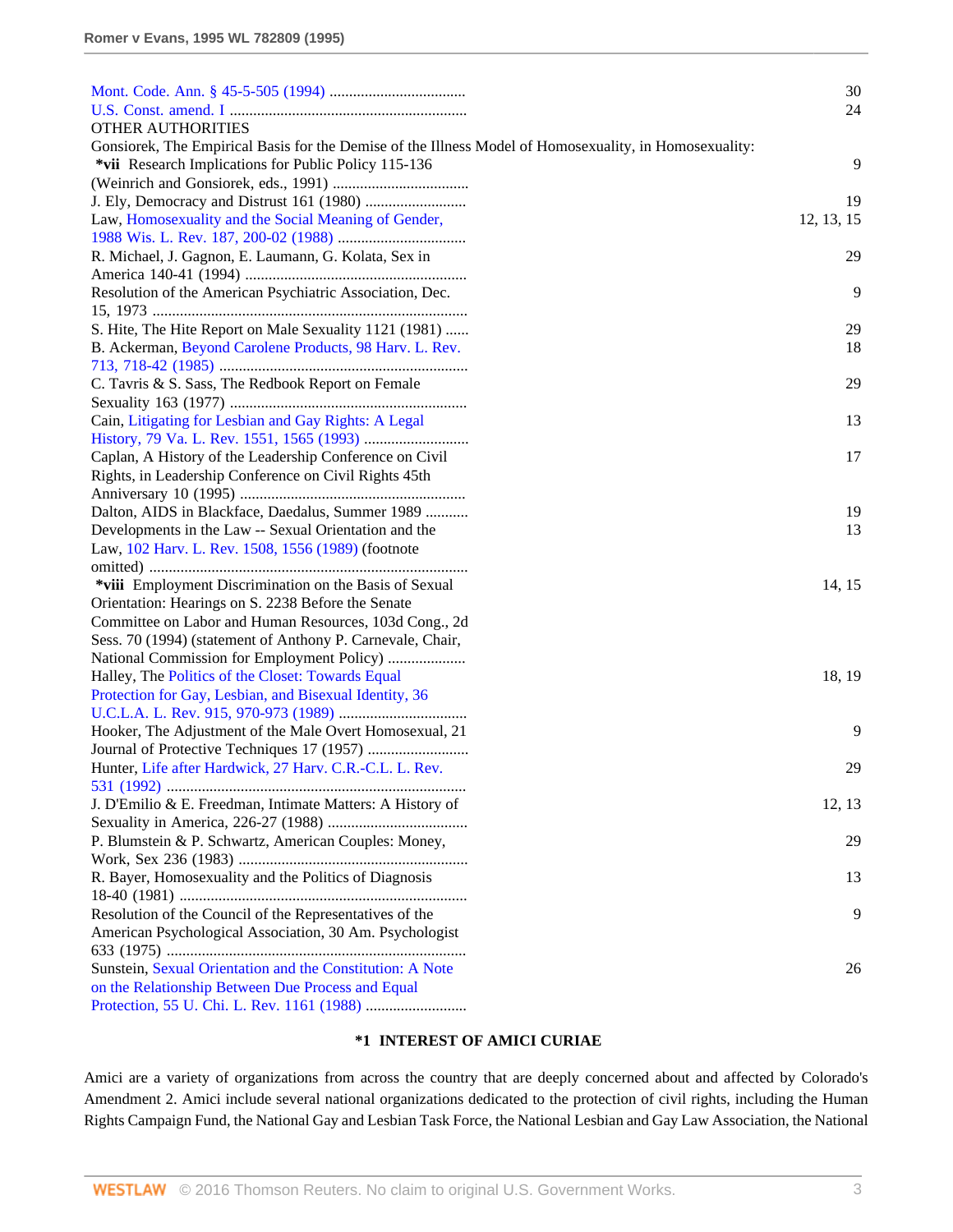|                                                                                                           | 30         |
|-----------------------------------------------------------------------------------------------------------|------------|
|                                                                                                           | 24         |
| <b>OTHER AUTHORITIES</b>                                                                                  |            |
| Gonsiorek, The Empirical Basis for the Demise of the Illness Model of Homosexuality, in Homosexuality:    |            |
| *vii Research Implications for Public Policy 115-136                                                      | 9          |
|                                                                                                           |            |
|                                                                                                           | 19         |
| Law, Homosexuality and the Social Meaning of Gender,                                                      | 12, 13, 15 |
|                                                                                                           |            |
| R. Michael, J. Gagnon, E. Laumann, G. Kolata, Sex in                                                      | 29         |
|                                                                                                           |            |
| Resolution of the American Psychiatric Association, Dec.                                                  | 9          |
|                                                                                                           |            |
| S. Hite, The Hite Report on Male Sexuality 1121 (1981)                                                    | 29         |
| B. Ackerman, Beyond Carolene Products, 98 Harv. L. Rev.                                                   | 18         |
|                                                                                                           |            |
| C. Tavris & S. Sass, The Redbook Report on Female                                                         | 29         |
|                                                                                                           |            |
| Cain, Litigating for Lesbian and Gay Rights: A Legal                                                      | 13         |
|                                                                                                           |            |
| Caplan, A History of the Leadership Conference on Civil                                                   | 17         |
| Rights, in Leadership Conference on Civil Rights 45th                                                     |            |
|                                                                                                           | 19         |
| Dalton, AIDS in Blackface, Daedalus, Summer 1989<br>Developments in the Law -- Sexual Orientation and the | 13         |
| Law, 102 Harv. L. Rev. 1508, 1556 (1989) (footnote                                                        |            |
|                                                                                                           |            |
| *viii Employment Discrimination on the Basis of Sexual                                                    | 14, 15     |
| Orientation: Hearings on S. 2238 Before the Senate                                                        |            |
| Committee on Labor and Human Resources, 103d Cong., 2d                                                    |            |
| Sess. 70 (1994) (statement of Anthony P. Carnevale, Chair,                                                |            |
|                                                                                                           |            |
| Halley, The Politics of the Closet: Towards Equal                                                         | 18, 19     |
| Protection for Gay, Lesbian, and Bisexual Identity, 36                                                    |            |
|                                                                                                           |            |
| Hooker, The Adjustment of the Male Overt Homosexual, 21                                                   | 9          |
|                                                                                                           |            |
| Hunter, Life after Hardwick, 27 Harv, C.R.-C.L. L. Rev.                                                   | 29         |
|                                                                                                           |            |
| J. D'Emilio & E. Freedman, Intimate Matters: A History of                                                 | 12, 13     |
|                                                                                                           |            |
| P. Blumstein & P. Schwartz, American Couples: Money,                                                      | 29         |
|                                                                                                           |            |
| R. Bayer, Homosexuality and the Politics of Diagnosis                                                     | 13         |
|                                                                                                           |            |
| Resolution of the Council of the Representatives of the                                                   | 9          |
| American Psychological Association, 30 Am. Psychologist                                                   |            |
|                                                                                                           |            |
| Sunstein, Sexual Orientation and the Constitution: A Note                                                 | 26         |
| on the Relationship Between Due Process and Equal                                                         |            |
|                                                                                                           |            |

### **\*1 INTEREST OF AMICI CURIAE**

Amici are a variety of organizations from across the country that are deeply concerned about and affected by Colorado's Amendment 2. Amici include several national organizations dedicated to the protection of civil rights, including the Human Rights Campaign Fund, the National Gay and Lesbian Task Force, the National Lesbian and Gay Law Association, the National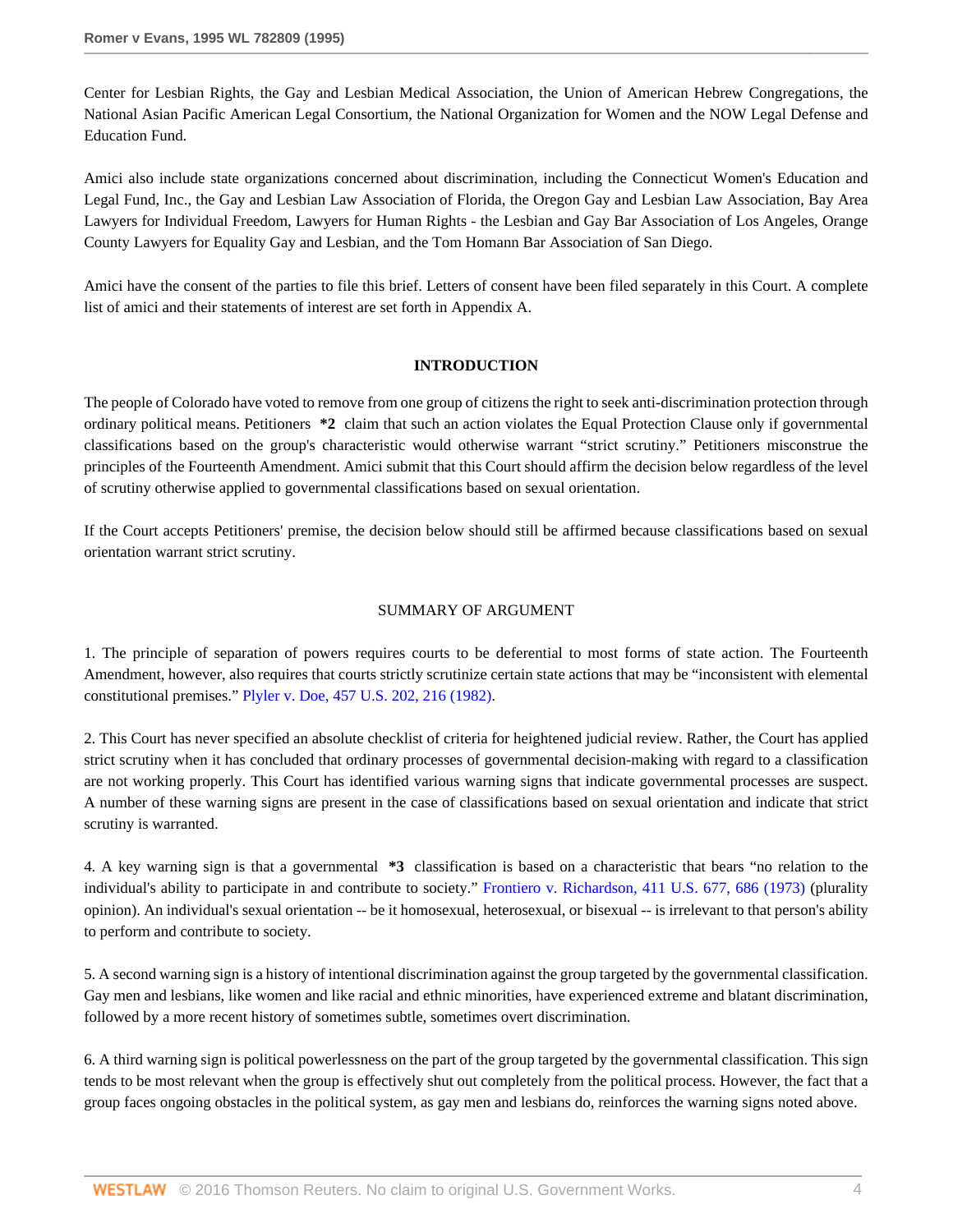Center for Lesbian Rights, the Gay and Lesbian Medical Association, the Union of American Hebrew Congregations, the National Asian Pacific American Legal Consortium, the National Organization for Women and the NOW Legal Defense and Education Fund.

Amici also include state organizations concerned about discrimination, including the Connecticut Women's Education and Legal Fund, Inc., the Gay and Lesbian Law Association of Florida, the Oregon Gay and Lesbian Law Association, Bay Area Lawyers for Individual Freedom, Lawyers for Human Rights - the Lesbian and Gay Bar Association of Los Angeles, Orange County Lawyers for Equality Gay and Lesbian, and the Tom Homann Bar Association of San Diego.

Amici have the consent of the parties to file this brief. Letters of consent have been filed separately in this Court. A complete list of amici and their statements of interest are set forth in Appendix A.

#### **INTRODUCTION**

The people of Colorado have voted to remove from one group of citizens the right to seek anti-discrimination protection through ordinary political means. Petitioners **\*2** claim that such an action violates the Equal Protection Clause only if governmental classifications based on the group's characteristic would otherwise warrant "strict scrutiny." Petitioners misconstrue the principles of the Fourteenth Amendment. Amici submit that this Court should affirm the decision below regardless of the level of scrutiny otherwise applied to governmental classifications based on sexual orientation.

If the Court accepts Petitioners' premise, the decision below should still be affirmed because classifications based on sexual orientation warrant strict scrutiny.

#### SUMMARY OF ARGUMENT

1. The principle of separation of powers requires courts to be deferential to most forms of state action. The Fourteenth Amendment, however, also requires that courts strictly scrutinize certain state actions that may be "inconsistent with elemental constitutional premises." [Plyler v. Doe, 457 U.S. 202, 216 \(1982\).](http://www.westlaw.com/Link/Document/FullText?findType=Y&serNum=1982126797&pubNum=780&originatingDoc=Ie6946d15482f11d9a5bfc0e3c4d1ea15&refType=RP&fi=co_pp_sp_780_216&originationContext=document&vr=3.0&rs=cblt1.0&transitionType=DocumentItem&contextData=(sc.Search)#co_pp_sp_780_216)

2. This Court has never specified an absolute checklist of criteria for heightened judicial review. Rather, the Court has applied strict scrutiny when it has concluded that ordinary processes of governmental decision-making with regard to a classification are not working properly. This Court has identified various warning signs that indicate governmental processes are suspect. A number of these warning signs are present in the case of classifications based on sexual orientation and indicate that strict scrutiny is warranted.

4. A key warning sign is that a governmental **\*3** classification is based on a characteristic that bears "no relation to the individual's ability to participate in and contribute to society." [Frontiero v. Richardson, 411 U.S. 677, 686 \(1973\)](http://www.westlaw.com/Link/Document/FullText?findType=Y&serNum=1973126388&pubNum=780&originatingDoc=Ie6946d15482f11d9a5bfc0e3c4d1ea15&refType=RP&fi=co_pp_sp_780_686&originationContext=document&vr=3.0&rs=cblt1.0&transitionType=DocumentItem&contextData=(sc.Search)#co_pp_sp_780_686) (plurality opinion). An individual's sexual orientation -- be it homosexual, heterosexual, or bisexual -- is irrelevant to that person's ability to perform and contribute to society.

5. A second warning sign is a history of intentional discrimination against the group targeted by the governmental classification. Gay men and lesbians, like women and like racial and ethnic minorities, have experienced extreme and blatant discrimination, followed by a more recent history of sometimes subtle, sometimes overt discrimination.

6. A third warning sign is political powerlessness on the part of the group targeted by the governmental classification. This sign tends to be most relevant when the group is effectively shut out completely from the political process. However, the fact that a group faces ongoing obstacles in the political system, as gay men and lesbians do, reinforces the warning signs noted above.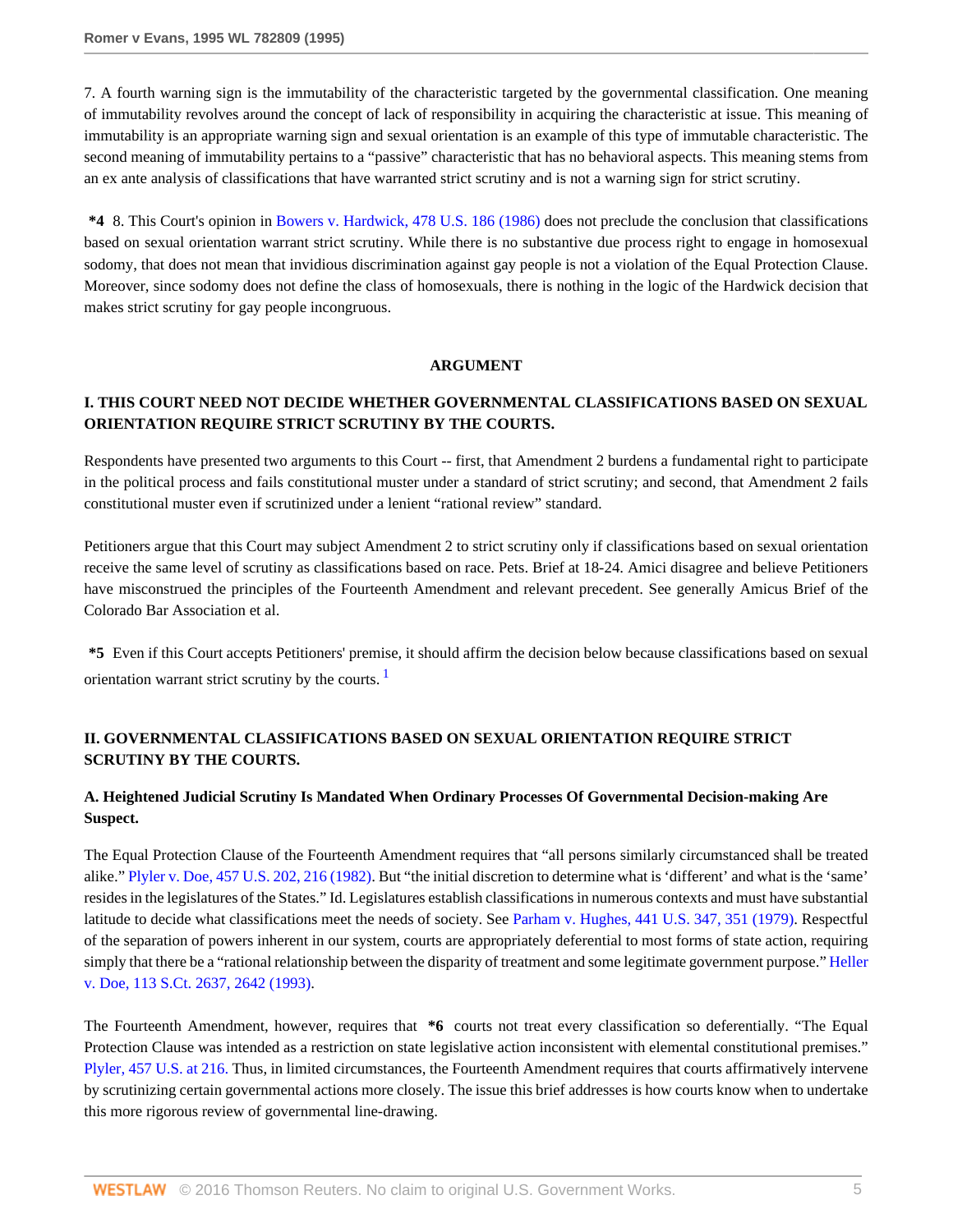7. A fourth warning sign is the immutability of the characteristic targeted by the governmental classification. One meaning of immutability revolves around the concept of lack of responsibility in acquiring the characteristic at issue. This meaning of immutability is an appropriate warning sign and sexual orientation is an example of this type of immutable characteristic. The second meaning of immutability pertains to a "passive" characteristic that has no behavioral aspects. This meaning stems from an ex ante analysis of classifications that have warranted strict scrutiny and is not a warning sign for strict scrutiny.

**\*4** 8. This Court's opinion in [Bowers v. Hardwick, 478 U.S. 186 \(1986\)](http://www.westlaw.com/Link/Document/FullText?findType=Y&serNum=1986133440&pubNum=780&originatingDoc=Ie6946d15482f11d9a5bfc0e3c4d1ea15&refType=RP&originationContext=document&vr=3.0&rs=cblt1.0&transitionType=DocumentItem&contextData=(sc.Search)) does not preclude the conclusion that classifications based on sexual orientation warrant strict scrutiny. While there is no substantive due process right to engage in homosexual sodomy, that does not mean that invidious discrimination against gay people is not a violation of the Equal Protection Clause. Moreover, since sodomy does not define the class of homosexuals, there is nothing in the logic of the Hardwick decision that makes strict scrutiny for gay people incongruous.

#### **ARGUMENT**

## **I. THIS COURT NEED NOT DECIDE WHETHER GOVERNMENTAL CLASSIFICATIONS BASED ON SEXUAL ORIENTATION REQUIRE STRICT SCRUTINY BY THE COURTS.**

Respondents have presented two arguments to this Court -- first, that Amendment 2 burdens a fundamental right to participate in the political process and fails constitutional muster under a standard of strict scrutiny; and second, that Amendment 2 fails constitutional muster even if scrutinized under a lenient "rational review" standard.

Petitioners argue that this Court may subject Amendment 2 to strict scrutiny only if classifications based on sexual orientation receive the same level of scrutiny as classifications based on race. Pets. Brief at 18-24. Amici disagree and believe Petitioners have misconstrued the principles of the Fourteenth Amendment and relevant precedent. See generally Amicus Brief of the Colorado Bar Association et al.

<span id="page-4-0"></span>**\*5** Even if this Court accepts Petitioners' premise, it should affirm the decision below because classifications based on sexual orientation warrant strict scrutiny by the courts. [1](#page-15-0)

## **II. GOVERNMENTAL CLASSIFICATIONS BASED ON SEXUAL ORIENTATION REQUIRE STRICT SCRUTINY BY THE COURTS.**

## **A. Heightened Judicial Scrutiny Is Mandated When Ordinary Processes Of Governmental Decision-making Are Suspect.**

The Equal Protection Clause of the Fourteenth Amendment requires that "all persons similarly circumstanced shall be treated alike." [Plyler v. Doe, 457 U.S. 202, 216 \(1982\).](http://www.westlaw.com/Link/Document/FullText?findType=Y&serNum=1982126797&pubNum=780&originatingDoc=Ie6946d15482f11d9a5bfc0e3c4d1ea15&refType=RP&fi=co_pp_sp_780_216&originationContext=document&vr=3.0&rs=cblt1.0&transitionType=DocumentItem&contextData=(sc.Search)#co_pp_sp_780_216) But "the initial discretion to determine what is 'different' and what is the 'same' resides in the legislatures of the States." Id. Legislatures establish classifications in numerous contexts and must have substantial latitude to decide what classifications meet the needs of society. See [Parham v. Hughes, 441 U.S. 347, 351 \(1979\)](http://www.westlaw.com/Link/Document/FullText?findType=Y&serNum=1979135100&pubNum=780&originatingDoc=Ie6946d15482f11d9a5bfc0e3c4d1ea15&refType=RP&fi=co_pp_sp_780_351&originationContext=document&vr=3.0&rs=cblt1.0&transitionType=DocumentItem&contextData=(sc.Search)#co_pp_sp_780_351). Respectful of the separation of powers inherent in our system, courts are appropriately deferential to most forms of state action, requiring simply that there be a "rational relationship between the disparity of treatment and some legitimate government purpose." [Heller](http://www.westlaw.com/Link/Document/FullText?findType=Y&serNum=1993129064&pubNum=708&originatingDoc=Ie6946d15482f11d9a5bfc0e3c4d1ea15&refType=RP&fi=co_pp_sp_708_2642&originationContext=document&vr=3.0&rs=cblt1.0&transitionType=DocumentItem&contextData=(sc.Search)#co_pp_sp_708_2642) [v. Doe, 113 S.Ct. 2637, 2642 \(1993\).](http://www.westlaw.com/Link/Document/FullText?findType=Y&serNum=1993129064&pubNum=708&originatingDoc=Ie6946d15482f11d9a5bfc0e3c4d1ea15&refType=RP&fi=co_pp_sp_708_2642&originationContext=document&vr=3.0&rs=cblt1.0&transitionType=DocumentItem&contextData=(sc.Search)#co_pp_sp_708_2642)

The Fourteenth Amendment, however, requires that **\*6** courts not treat every classification so deferentially. "The Equal Protection Clause was intended as a restriction on state legislative action inconsistent with elemental constitutional premises." [Plyler, 457 U.S. at 216.](http://www.westlaw.com/Link/Document/FullText?findType=Y&serNum=1982126797&pubNum=780&originatingDoc=Ie6946d15482f11d9a5bfc0e3c4d1ea15&refType=RP&fi=co_pp_sp_780_216&originationContext=document&vr=3.0&rs=cblt1.0&transitionType=DocumentItem&contextData=(sc.Search)#co_pp_sp_780_216) Thus, in limited circumstances, the Fourteenth Amendment requires that courts affirmatively intervene by scrutinizing certain governmental actions more closely. The issue this brief addresses is how courts know when to undertake this more rigorous review of governmental line-drawing.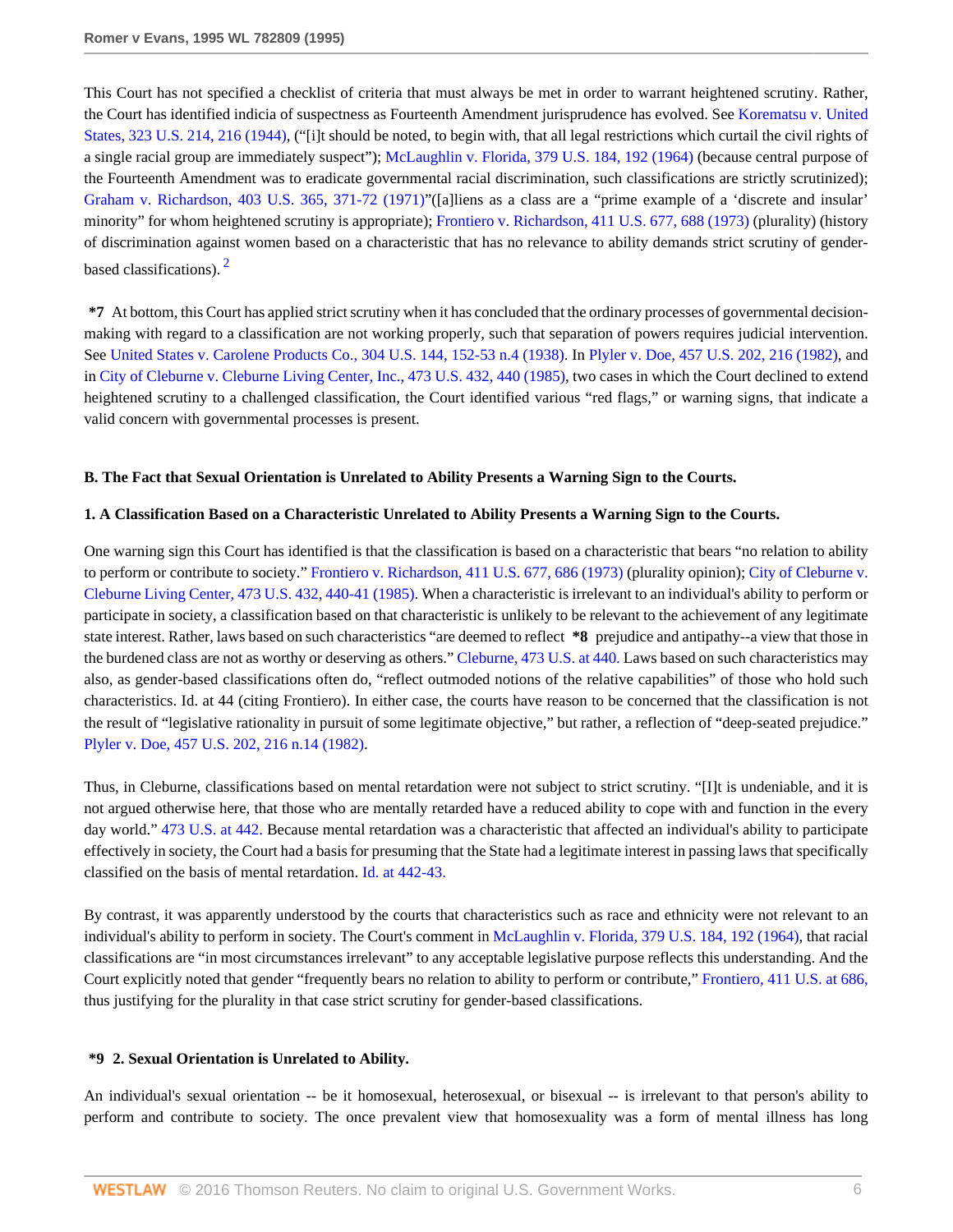This Court has not specified a checklist of criteria that must always be met in order to warrant heightened scrutiny. Rather, the Court has identified indicia of suspectness as Fourteenth Amendment jurisprudence has evolved. See [Korematsu v. United](http://www.westlaw.com/Link/Document/FullText?findType=Y&serNum=1944118365&pubNum=780&originatingDoc=Ie6946d15482f11d9a5bfc0e3c4d1ea15&refType=RP&fi=co_pp_sp_780_216&originationContext=document&vr=3.0&rs=cblt1.0&transitionType=DocumentItem&contextData=(sc.Search)#co_pp_sp_780_216) [States, 323 U.S. 214, 216 \(1944\)](http://www.westlaw.com/Link/Document/FullText?findType=Y&serNum=1944118365&pubNum=780&originatingDoc=Ie6946d15482f11d9a5bfc0e3c4d1ea15&refType=RP&fi=co_pp_sp_780_216&originationContext=document&vr=3.0&rs=cblt1.0&transitionType=DocumentItem&contextData=(sc.Search)#co_pp_sp_780_216), ("i) t should be noted, to begin with, that all legal restrictions which curtail the civil rights of a single racial group are immediately suspect"); [McLaughlin v. Florida, 379 U.S. 184, 192 \(1964\)](http://www.westlaw.com/Link/Document/FullText?findType=Y&serNum=1964124890&pubNum=780&originatingDoc=Ie6946d15482f11d9a5bfc0e3c4d1ea15&refType=RP&fi=co_pp_sp_780_192&originationContext=document&vr=3.0&rs=cblt1.0&transitionType=DocumentItem&contextData=(sc.Search)#co_pp_sp_780_192) (because central purpose of the Fourteenth Amendment was to eradicate governmental racial discrimination, such classifications are strictly scrutinized); [Graham v. Richardson, 403 U.S. 365, 371-72 \(1971\)](http://www.westlaw.com/Link/Document/FullText?findType=Y&serNum=1971127095&pubNum=780&originatingDoc=Ie6946d15482f11d9a5bfc0e3c4d1ea15&refType=RP&fi=co_pp_sp_780_371&originationContext=document&vr=3.0&rs=cblt1.0&transitionType=DocumentItem&contextData=(sc.Search)#co_pp_sp_780_371)"([a]liens as a class are a "prime example of a 'discrete and insular' minority" for whom heightened scrutiny is appropriate); [Frontiero v. Richardson, 411 U.S. 677, 688 \(1973\)](http://www.westlaw.com/Link/Document/FullText?findType=Y&serNum=1973126388&pubNum=780&originatingDoc=Ie6946d15482f11d9a5bfc0e3c4d1ea15&refType=RP&fi=co_pp_sp_780_688&originationContext=document&vr=3.0&rs=cblt1.0&transitionType=DocumentItem&contextData=(sc.Search)#co_pp_sp_780_688) (plurality) (history of discrimination against women based on a characteristic that has no relevance to ability demands strict scrutiny of gender-based classifications)<sup>[2](#page-15-1)</sup>

<span id="page-5-0"></span>**\*7** At bottom, this Court has applied strict scrutiny when it has concluded that the ordinary processes of governmental decisionmaking with regard to a classification are not working properly, such that separation of powers requires judicial intervention. See [United States v. Carolene Products Co., 304 U.S. 144, 152-53 n.4 \(1938\).](http://www.westlaw.com/Link/Document/FullText?findType=Y&serNum=1938122797&pubNum=780&originatingDoc=Ie6946d15482f11d9a5bfc0e3c4d1ea15&refType=RP&fi=co_pp_sp_780_152&originationContext=document&vr=3.0&rs=cblt1.0&transitionType=DocumentItem&contextData=(sc.Search)#co_pp_sp_780_152) In [Plyler v. Doe, 457 U.S. 202, 216 \(1982\),](http://www.westlaw.com/Link/Document/FullText?findType=Y&serNum=1982126797&pubNum=780&originatingDoc=Ie6946d15482f11d9a5bfc0e3c4d1ea15&refType=RP&fi=co_pp_sp_780_216&originationContext=document&vr=3.0&rs=cblt1.0&transitionType=DocumentItem&contextData=(sc.Search)#co_pp_sp_780_216) and in [City of Cleburne v. Cleburne Living Center, Inc., 473 U.S. 432, 440 \(1985\)](http://www.westlaw.com/Link/Document/FullText?findType=Y&serNum=1985133474&pubNum=780&originatingDoc=Ie6946d15482f11d9a5bfc0e3c4d1ea15&refType=RP&fi=co_pp_sp_780_440&originationContext=document&vr=3.0&rs=cblt1.0&transitionType=DocumentItem&contextData=(sc.Search)#co_pp_sp_780_440), two cases in which the Court declined to extend heightened scrutiny to a challenged classification, the Court identified various "red flags," or warning signs, that indicate a valid concern with governmental processes is present.

### **B. The Fact that Sexual Orientation is Unrelated to Ability Presents a Warning Sign to the Courts.**

### **1. A Classification Based on a Characteristic Unrelated to Ability Presents a Warning Sign to the Courts.**

One warning sign this Court has identified is that the classification is based on a characteristic that bears "no relation to ability to perform or contribute to society." [Frontiero v. Richardson, 411 U.S. 677, 686 \(1973\)](http://www.westlaw.com/Link/Document/FullText?findType=Y&serNum=1973126388&pubNum=780&originatingDoc=Ie6946d15482f11d9a5bfc0e3c4d1ea15&refType=RP&fi=co_pp_sp_780_686&originationContext=document&vr=3.0&rs=cblt1.0&transitionType=DocumentItem&contextData=(sc.Search)#co_pp_sp_780_686) (plurality opinion); [City of Cleburne v.](http://www.westlaw.com/Link/Document/FullText?findType=Y&serNum=1985133474&pubNum=780&originatingDoc=Ie6946d15482f11d9a5bfc0e3c4d1ea15&refType=RP&fi=co_pp_sp_780_440&originationContext=document&vr=3.0&rs=cblt1.0&transitionType=DocumentItem&contextData=(sc.Search)#co_pp_sp_780_440) [Cleburne Living Center, 473 U.S. 432, 440-41 \(1985\)](http://www.westlaw.com/Link/Document/FullText?findType=Y&serNum=1985133474&pubNum=780&originatingDoc=Ie6946d15482f11d9a5bfc0e3c4d1ea15&refType=RP&fi=co_pp_sp_780_440&originationContext=document&vr=3.0&rs=cblt1.0&transitionType=DocumentItem&contextData=(sc.Search)#co_pp_sp_780_440). When a characteristic is irrelevant to an individual's ability to perform or participate in society, a classification based on that characteristic is unlikely to be relevant to the achievement of any legitimate state interest. Rather, laws based on such characteristics "are deemed to reflect **\*8** prejudice and antipathy--a view that those in the burdened class are not as worthy or deserving as others." [Cleburne, 473 U.S. at 440.](http://www.westlaw.com/Link/Document/FullText?findType=Y&serNum=1985133474&pubNum=780&originatingDoc=Ie6946d15482f11d9a5bfc0e3c4d1ea15&refType=RP&fi=co_pp_sp_780_440&originationContext=document&vr=3.0&rs=cblt1.0&transitionType=DocumentItem&contextData=(sc.Search)#co_pp_sp_780_440) Laws based on such characteristics may also, as gender-based classifications often do, "reflect outmoded notions of the relative capabilities" of those who hold such characteristics. Id. at 44 (citing Frontiero). In either case, the courts have reason to be concerned that the classification is not the result of "legislative rationality in pursuit of some legitimate objective," but rather, a reflection of "deep-seated prejudice." [Plyler v. Doe, 457 U.S. 202, 216 n.14 \(1982\).](http://www.westlaw.com/Link/Document/FullText?findType=Y&serNum=1982126797&pubNum=780&originatingDoc=Ie6946d15482f11d9a5bfc0e3c4d1ea15&refType=RP&fi=co_pp_sp_780_216&originationContext=document&vr=3.0&rs=cblt1.0&transitionType=DocumentItem&contextData=(sc.Search)#co_pp_sp_780_216)

Thus, in Cleburne, classifications based on mental retardation were not subject to strict scrutiny. "[I]t is undeniable, and it is not argued otherwise here, that those who are mentally retarded have a reduced ability to cope with and function in the every day world." [473 U.S. at 442.](http://www.westlaw.com/Link/Document/FullText?findType=Y&serNum=1985133474&pubNum=780&originatingDoc=Ie6946d15482f11d9a5bfc0e3c4d1ea15&refType=RP&fi=co_pp_sp_780_442&originationContext=document&vr=3.0&rs=cblt1.0&transitionType=DocumentItem&contextData=(sc.Search)#co_pp_sp_780_442) Because mental retardation was a characteristic that affected an individual's ability to participate effectively in society, the Court had a basis for presuming that the State had a legitimate interest in passing laws that specifically classified on the basis of mental retardation. [Id. at 442-43.](http://www.westlaw.com/Link/Document/FullText?findType=Y&serNum=1985133474&originatingDoc=Ie6946d15482f11d9a5bfc0e3c4d1ea15&refType=RP&originationContext=document&vr=3.0&rs=cblt1.0&transitionType=DocumentItem&contextData=(sc.Search))

By contrast, it was apparently understood by the courts that characteristics such as race and ethnicity were not relevant to an individual's ability to perform in society. The Court's comment in [McLaughlin v. Florida, 379 U.S. 184, 192 \(1964\),](http://www.westlaw.com/Link/Document/FullText?findType=Y&serNum=1964124890&pubNum=780&originatingDoc=Ie6946d15482f11d9a5bfc0e3c4d1ea15&refType=RP&fi=co_pp_sp_780_192&originationContext=document&vr=3.0&rs=cblt1.0&transitionType=DocumentItem&contextData=(sc.Search)#co_pp_sp_780_192) that racial classifications are "in most circumstances irrelevant" to any acceptable legislative purpose reflects this understanding. And the Court explicitly noted that gender "frequently bears no relation to ability to perform or contribute," [Frontiero, 411 U.S. at 686,](http://www.westlaw.com/Link/Document/FullText?findType=Y&serNum=1973126388&pubNum=780&originatingDoc=Ie6946d15482f11d9a5bfc0e3c4d1ea15&refType=RP&fi=co_pp_sp_780_686&originationContext=document&vr=3.0&rs=cblt1.0&transitionType=DocumentItem&contextData=(sc.Search)#co_pp_sp_780_686) thus justifying for the plurality in that case strict scrutiny for gender-based classifications.

### **\*9 2. Sexual Orientation is Unrelated to Ability.**

An individual's sexual orientation -- be it homosexual, heterosexual, or bisexual -- is irrelevant to that person's ability to perform and contribute to society. The once prevalent view that homosexuality was a form of mental illness has long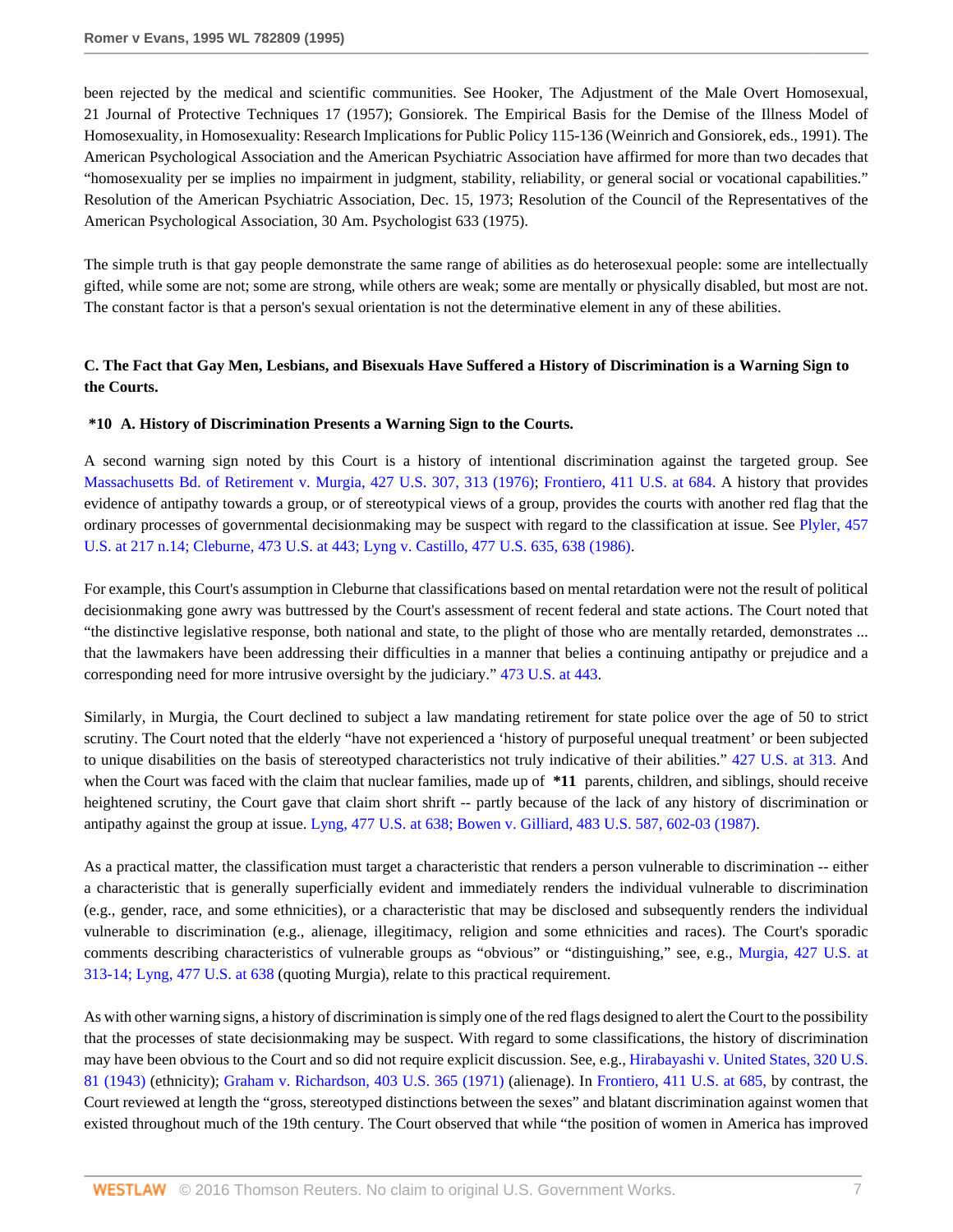been rejected by the medical and scientific communities. See Hooker, The Adjustment of the Male Overt Homosexual, 21 Journal of Protective Techniques 17 (1957); Gonsiorek. The Empirical Basis for the Demise of the Illness Model of Homosexuality, in Homosexuality: Research Implications for Public Policy 115-136 (Weinrich and Gonsiorek, eds., 1991). The American Psychological Association and the American Psychiatric Association have affirmed for more than two decades that "homosexuality per se implies no impairment in judgment, stability, reliability, or general social or vocational capabilities." Resolution of the American Psychiatric Association, Dec. 15, 1973; Resolution of the Council of the Representatives of the American Psychological Association, 30 Am. Psychologist 633 (1975).

The simple truth is that gay people demonstrate the same range of abilities as do heterosexual people: some are intellectually gifted, while some are not; some are strong, while others are weak; some are mentally or physically disabled, but most are not. The constant factor is that a person's sexual orientation is not the determinative element in any of these abilities.

## **C. The Fact that Gay Men, Lesbians, and Bisexuals Have Suffered a History of Discrimination is a Warning Sign to the Courts.**

#### **\*10 A. History of Discrimination Presents a Warning Sign to the Courts.**

A second warning sign noted by this Court is a history of intentional discrimination against the targeted group. See [Massachusetts Bd. of Retirement v. Murgia, 427 U.S. 307, 313 \(1976\)](http://www.westlaw.com/Link/Document/FullText?findType=Y&serNum=1976142431&pubNum=780&originatingDoc=Ie6946d15482f11d9a5bfc0e3c4d1ea15&refType=RP&fi=co_pp_sp_780_313&originationContext=document&vr=3.0&rs=cblt1.0&transitionType=DocumentItem&contextData=(sc.Search)#co_pp_sp_780_313); [Frontiero, 411 U.S. at 684.](http://www.westlaw.com/Link/Document/FullText?findType=Y&serNum=1973126388&pubNum=780&originatingDoc=Ie6946d15482f11d9a5bfc0e3c4d1ea15&refType=RP&fi=co_pp_sp_780_684&originationContext=document&vr=3.0&rs=cblt1.0&transitionType=DocumentItem&contextData=(sc.Search)#co_pp_sp_780_684) A history that provides evidence of antipathy towards a group, or of stereotypical views of a group, provides the courts with another red flag that the ordinary processes of governmental decisionmaking may be suspect with regard to the classification at issue. See [Plyler, 457](http://www.westlaw.com/Link/Document/FullText?findType=Y&serNum=1982126797&pubNum=780&originatingDoc=Ie6946d15482f11d9a5bfc0e3c4d1ea15&refType=RP&fi=co_pp_sp_780_217&originationContext=document&vr=3.0&rs=cblt1.0&transitionType=DocumentItem&contextData=(sc.Search)#co_pp_sp_780_217) [U.S. at 217 n.14;](http://www.westlaw.com/Link/Document/FullText?findType=Y&serNum=1982126797&pubNum=780&originatingDoc=Ie6946d15482f11d9a5bfc0e3c4d1ea15&refType=RP&fi=co_pp_sp_780_217&originationContext=document&vr=3.0&rs=cblt1.0&transitionType=DocumentItem&contextData=(sc.Search)#co_pp_sp_780_217) [Cleburne, 473 U.S. at 443;](http://www.westlaw.com/Link/Document/FullText?findType=Y&serNum=1985133474&pubNum=780&originatingDoc=Ie6946d15482f11d9a5bfc0e3c4d1ea15&refType=RP&fi=co_pp_sp_780_443&originationContext=document&vr=3.0&rs=cblt1.0&transitionType=DocumentItem&contextData=(sc.Search)#co_pp_sp_780_443) [Lyng v. Castillo, 477 U.S. 635, 638 \(1986\)](http://www.westlaw.com/Link/Document/FullText?findType=Y&serNum=1986133081&pubNum=780&originatingDoc=Ie6946d15482f11d9a5bfc0e3c4d1ea15&refType=RP&fi=co_pp_sp_780_638&originationContext=document&vr=3.0&rs=cblt1.0&transitionType=DocumentItem&contextData=(sc.Search)#co_pp_sp_780_638).

For example, this Court's assumption in Cleburne that classifications based on mental retardation were not the result of political decisionmaking gone awry was buttressed by the Court's assessment of recent federal and state actions. The Court noted that "the distinctive legislative response, both national and state, to the plight of those who are mentally retarded, demonstrates ... that the lawmakers have been addressing their difficulties in a manner that belies a continuing antipathy or prejudice and a corresponding need for more intrusive oversight by the judiciary." [473 U.S. at 443](http://www.westlaw.com/Link/Document/FullText?findType=Y&serNum=1985133474&pubNum=780&originatingDoc=Ie6946d15482f11d9a5bfc0e3c4d1ea15&refType=RP&fi=co_pp_sp_780_443&originationContext=document&vr=3.0&rs=cblt1.0&transitionType=DocumentItem&contextData=(sc.Search)#co_pp_sp_780_443).

Similarly, in Murgia, the Court declined to subject a law mandating retirement for state police over the age of 50 to strict scrutiny. The Court noted that the elderly "have not experienced a 'history of purposeful unequal treatment' or been subjected to unique disabilities on the basis of stereotyped characteristics not truly indicative of their abilities." [427 U.S. at 313.](http://www.westlaw.com/Link/Document/FullText?findType=Y&serNum=1976142431&pubNum=780&originatingDoc=Ie6946d15482f11d9a5bfc0e3c4d1ea15&refType=RP&fi=co_pp_sp_780_313&originationContext=document&vr=3.0&rs=cblt1.0&transitionType=DocumentItem&contextData=(sc.Search)#co_pp_sp_780_313) And when the Court was faced with the claim that nuclear families, made up of  $*11$  parents, children, and siblings, should receive heightened scrutiny, the Court gave that claim short shrift -- partly because of the lack of any history of discrimination or antipathy against the group at issue. [Lyng, 477 U.S. at 638;](http://www.westlaw.com/Link/Document/FullText?findType=Y&serNum=1986133081&pubNum=780&originatingDoc=Ie6946d15482f11d9a5bfc0e3c4d1ea15&refType=RP&fi=co_pp_sp_780_638&originationContext=document&vr=3.0&rs=cblt1.0&transitionType=DocumentItem&contextData=(sc.Search)#co_pp_sp_780_638) [Bowen v. Gilliard, 483 U.S. 587, 602-03 \(1987\).](http://www.westlaw.com/Link/Document/FullText?findType=Y&serNum=1987079682&pubNum=780&originatingDoc=Ie6946d15482f11d9a5bfc0e3c4d1ea15&refType=RP&fi=co_pp_sp_780_602&originationContext=document&vr=3.0&rs=cblt1.0&transitionType=DocumentItem&contextData=(sc.Search)#co_pp_sp_780_602)

As a practical matter, the classification must target a characteristic that renders a person vulnerable to discrimination -- either a characteristic that is generally superficially evident and immediately renders the individual vulnerable to discrimination (e.g., gender, race, and some ethnicities), or a characteristic that may be disclosed and subsequently renders the individual vulnerable to discrimination (e.g., alienage, illegitimacy, religion and some ethnicities and races). The Court's sporadic comments describing characteristics of vulnerable groups as "obvious" or "distinguishing," see, e.g., [Murgia, 427 U.S. at](http://www.westlaw.com/Link/Document/FullText?findType=Y&serNum=1976142431&pubNum=780&originatingDoc=Ie6946d15482f11d9a5bfc0e3c4d1ea15&refType=RP&fi=co_pp_sp_780_313&originationContext=document&vr=3.0&rs=cblt1.0&transitionType=DocumentItem&contextData=(sc.Search)#co_pp_sp_780_313) [313-14;](http://www.westlaw.com/Link/Document/FullText?findType=Y&serNum=1976142431&pubNum=780&originatingDoc=Ie6946d15482f11d9a5bfc0e3c4d1ea15&refType=RP&fi=co_pp_sp_780_313&originationContext=document&vr=3.0&rs=cblt1.0&transitionType=DocumentItem&contextData=(sc.Search)#co_pp_sp_780_313) [Lyng, 477 U.S. at 638](http://www.westlaw.com/Link/Document/FullText?findType=Y&serNum=1986133081&pubNum=780&originatingDoc=Ie6946d15482f11d9a5bfc0e3c4d1ea15&refType=RP&fi=co_pp_sp_780_638&originationContext=document&vr=3.0&rs=cblt1.0&transitionType=DocumentItem&contextData=(sc.Search)#co_pp_sp_780_638) (quoting Murgia), relate to this practical requirement.

As with other warning signs, a history of discrimination is simply one of the red flags designed to alert the Court to the possibility that the processes of state decisionmaking may be suspect. With regard to some classifications, the history of discrimination may have been obvious to the Court and so did not require explicit discussion. See, e.g., [Hirabayashi v. United States, 320 U.S.](http://www.westlaw.com/Link/Document/FullText?findType=Y&serNum=1943117918&pubNum=780&originatingDoc=Ie6946d15482f11d9a5bfc0e3c4d1ea15&refType=RP&originationContext=document&vr=3.0&rs=cblt1.0&transitionType=DocumentItem&contextData=(sc.Search)) [81 \(1943\)](http://www.westlaw.com/Link/Document/FullText?findType=Y&serNum=1943117918&pubNum=780&originatingDoc=Ie6946d15482f11d9a5bfc0e3c4d1ea15&refType=RP&originationContext=document&vr=3.0&rs=cblt1.0&transitionType=DocumentItem&contextData=(sc.Search)) (ethnicity); [Graham v. Richardson, 403 U.S. 365 \(1971\)](http://www.westlaw.com/Link/Document/FullText?findType=Y&serNum=1971127095&pubNum=780&originatingDoc=Ie6946d15482f11d9a5bfc0e3c4d1ea15&refType=RP&originationContext=document&vr=3.0&rs=cblt1.0&transitionType=DocumentItem&contextData=(sc.Search)) (alienage). In [Frontiero, 411 U.S. at 685,](http://www.westlaw.com/Link/Document/FullText?findType=Y&serNum=1973126388&pubNum=780&originatingDoc=Ie6946d15482f11d9a5bfc0e3c4d1ea15&refType=RP&fi=co_pp_sp_780_685&originationContext=document&vr=3.0&rs=cblt1.0&transitionType=DocumentItem&contextData=(sc.Search)#co_pp_sp_780_685) by contrast, the Court reviewed at length the "gross, stereotyped distinctions between the sexes" and blatant discrimination against women that existed throughout much of the 19th century. The Court observed that while "the position of women in America has improved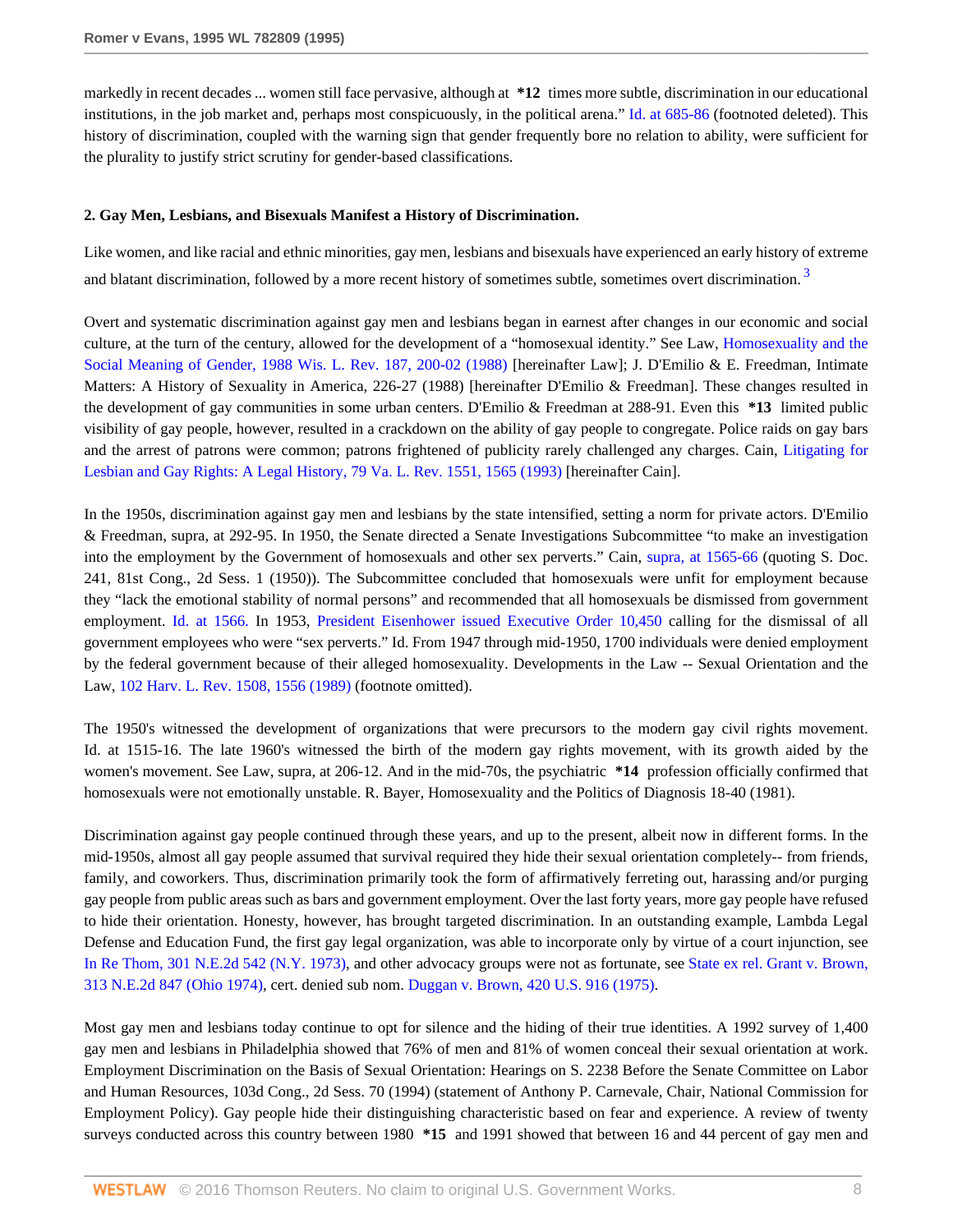markedly in recent decades ... women still face pervasive, although at **\*12** times more subtle, discrimination in our educational institutions, in the job market and, perhaps most conspicuously, in the political arena." [Id. at 685-86](http://www.westlaw.com/Link/Document/FullText?findType=Y&serNum=1973126388&originatingDoc=Ie6946d15482f11d9a5bfc0e3c4d1ea15&refType=RP&originationContext=document&vr=3.0&rs=cblt1.0&transitionType=DocumentItem&contextData=(sc.Search)) (footnoted deleted). This history of discrimination, coupled with the warning sign that gender frequently bore no relation to ability, were sufficient for the plurality to justify strict scrutiny for gender-based classifications.

#### **2. Gay Men, Lesbians, and Bisexuals Manifest a History of Discrimination.**

<span id="page-7-0"></span>Like women, and like racial and ethnic minorities, gay men, lesbians and bisexuals have experienced an early history of extreme and blatant discrimination, followed by a more recent history of sometimes subtle, sometimes overt discrimination.<sup>[3](#page-16-0)</sup>

Overt and systematic discrimination against gay men and lesbians began in earnest after changes in our economic and social culture, at the turn of the century, allowed for the development of a "homosexual identity." See Law, [Homosexuality and the](http://www.westlaw.com/Link/Document/FullText?findType=Y&serNum=0101744199&pubNum=1290&originatingDoc=Ie6946d15482f11d9a5bfc0e3c4d1ea15&refType=LR&fi=co_pp_sp_1290_200&originationContext=document&vr=3.0&rs=cblt1.0&transitionType=DocumentItem&contextData=(sc.Search)#co_pp_sp_1290_200) [Social Meaning of Gender, 1988 Wis. L. Rev. 187, 200-02 \(1988\)](http://www.westlaw.com/Link/Document/FullText?findType=Y&serNum=0101744199&pubNum=1290&originatingDoc=Ie6946d15482f11d9a5bfc0e3c4d1ea15&refType=LR&fi=co_pp_sp_1290_200&originationContext=document&vr=3.0&rs=cblt1.0&transitionType=DocumentItem&contextData=(sc.Search)#co_pp_sp_1290_200) [hereinafter Law]; J. D'Emilio & E. Freedman, Intimate Matters: A History of Sexuality in America, 226-27 (1988) [hereinafter D'Emilio & Freedman]. These changes resulted in the development of gay communities in some urban centers. D'Emilio & Freedman at 288-91. Even this **\*13** limited public visibility of gay people, however, resulted in a crackdown on the ability of gay people to congregate. Police raids on gay bars and the arrest of patrons were common; patrons frightened of publicity rarely challenged any charges. Cain, [Litigating for](http://www.westlaw.com/Link/Document/FullText?findType=Y&serNum=0103230422&pubNum=1359&originatingDoc=Ie6946d15482f11d9a5bfc0e3c4d1ea15&refType=LR&fi=co_pp_sp_1359_1565&originationContext=document&vr=3.0&rs=cblt1.0&transitionType=DocumentItem&contextData=(sc.Search)#co_pp_sp_1359_1565) [Lesbian and Gay Rights: A Legal History, 79 Va. L. Rev. 1551, 1565 \(1993\)](http://www.westlaw.com/Link/Document/FullText?findType=Y&serNum=0103230422&pubNum=1359&originatingDoc=Ie6946d15482f11d9a5bfc0e3c4d1ea15&refType=LR&fi=co_pp_sp_1359_1565&originationContext=document&vr=3.0&rs=cblt1.0&transitionType=DocumentItem&contextData=(sc.Search)#co_pp_sp_1359_1565) [hereinafter Cain].

In the 1950s, discrimination against gay men and lesbians by the state intensified, setting a norm for private actors. D'Emilio & Freedman, supra, at 292-95. In 1950, the Senate directed a Senate Investigations Subcommittee "to make an investigation into the employment by the Government of homosexuals and other sex perverts." Cain, [supra, at 1565-66](http://www.westlaw.com/Link/Document/FullText?findType=Y&serNum=0103230422&originatingDoc=Ie6946d15482f11d9a5bfc0e3c4d1ea15&refType=LR&originationContext=document&vr=3.0&rs=cblt1.0&transitionType=DocumentItem&contextData=(sc.Search)) (quoting S. Doc. 241, 81st Cong., 2d Sess. 1 (1950)). The Subcommittee concluded that homosexuals were unfit for employment because they "lack the emotional stability of normal persons" and recommended that all homosexuals be dismissed from government employment. [Id. at 1566.](http://www.westlaw.com/Link/Document/FullText?findType=Y&serNum=0103230422&originatingDoc=Ie6946d15482f11d9a5bfc0e3c4d1ea15&refType=LR&originationContext=document&vr=3.0&rs=cblt1.0&transitionType=DocumentItem&contextData=(sc.Search)) In 1953, [President Eisenhower issued Executive Order 10,450](http://www.westlaw.com/Link/Document/FullText?findType=Y&cite=EXECORDERNO10450&originatingDoc=Ie6946d15482f11d9a5bfc0e3c4d1ea15&refType=DE&originationContext=document&vr=3.0&rs=cblt1.0&transitionType=DocumentItem&contextData=(sc.Search)) calling for the dismissal of all government employees who were "sex perverts." Id. From 1947 through mid-1950, 1700 individuals were denied employment by the federal government because of their alleged homosexuality. Developments in the Law -- Sexual Orientation and the Law, [102 Harv. L. Rev. 1508, 1556 \(1989\)](http://www.westlaw.com/Link/Document/FullText?findType=Y&serNum=0102734331&pubNum=3084&originatingDoc=Ie6946d15482f11d9a5bfc0e3c4d1ea15&refType=LR&fi=co_pp_sp_3084_1556&originationContext=document&vr=3.0&rs=cblt1.0&transitionType=DocumentItem&contextData=(sc.Search)#co_pp_sp_3084_1556) (footnote omitted).

The 1950's witnessed the development of organizations that were precursors to the modern gay civil rights movement. Id. at 1515-16. The late 1960's witnessed the birth of the modern gay rights movement, with its growth aided by the women's movement. See Law, supra, at 206-12. And in the mid-70s, the psychiatric **\*14** profession officially confirmed that homosexuals were not emotionally unstable. R. Bayer, Homosexuality and the Politics of Diagnosis 18-40 (1981).

Discrimination against gay people continued through these years, and up to the present, albeit now in different forms. In the mid-1950s, almost all gay people assumed that survival required they hide their sexual orientation completely-- from friends, family, and coworkers. Thus, discrimination primarily took the form of affirmatively ferreting out, harassing and/or purging gay people from public areas such as bars and government employment. Over the last forty years, more gay people have refused to hide their orientation. Honesty, however, has brought targeted discrimination. In an outstanding example, Lambda Legal Defense and Education Fund, the first gay legal organization, was able to incorporate only by virtue of a court injunction, see [In Re Thom, 301 N.E.2d 542 \(N.Y. 1973\)](http://www.westlaw.com/Link/Document/FullText?findType=Y&serNum=1973270043&pubNum=578&originatingDoc=Ie6946d15482f11d9a5bfc0e3c4d1ea15&refType=RP&originationContext=document&vr=3.0&rs=cblt1.0&transitionType=DocumentItem&contextData=(sc.Search)), and other advocacy groups were not as fortunate, see [State ex rel. Grant v. Brown,](http://www.westlaw.com/Link/Document/FullText?findType=Y&serNum=1974115060&pubNum=578&originatingDoc=Ie6946d15482f11d9a5bfc0e3c4d1ea15&refType=RP&originationContext=document&vr=3.0&rs=cblt1.0&transitionType=DocumentItem&contextData=(sc.Search)) [313 N.E.2d 847 \(Ohio 1974\),](http://www.westlaw.com/Link/Document/FullText?findType=Y&serNum=1974115060&pubNum=578&originatingDoc=Ie6946d15482f11d9a5bfc0e3c4d1ea15&refType=RP&originationContext=document&vr=3.0&rs=cblt1.0&transitionType=DocumentItem&contextData=(sc.Search)) cert. denied sub nom. [Duggan v. Brown, 420 U.S. 916 \(1975\).](http://www.westlaw.com/Link/Document/FullText?findType=Y&serNum=1975244475&pubNum=780&originatingDoc=Ie6946d15482f11d9a5bfc0e3c4d1ea15&refType=RP&originationContext=document&vr=3.0&rs=cblt1.0&transitionType=DocumentItem&contextData=(sc.Search))

Most gay men and lesbians today continue to opt for silence and the hiding of their true identities. A 1992 survey of 1,400 gay men and lesbians in Philadelphia showed that 76% of men and 81% of women conceal their sexual orientation at work. Employment Discrimination on the Basis of Sexual Orientation: Hearings on S. 2238 Before the Senate Committee on Labor and Human Resources, 103d Cong., 2d Sess. 70 (1994) (statement of Anthony P. Carnevale, Chair, National Commission for Employment Policy). Gay people hide their distinguishing characteristic based on fear and experience. A review of twenty surveys conducted across this country between 1980 **\*15** and 1991 showed that between 16 and 44 percent of gay men and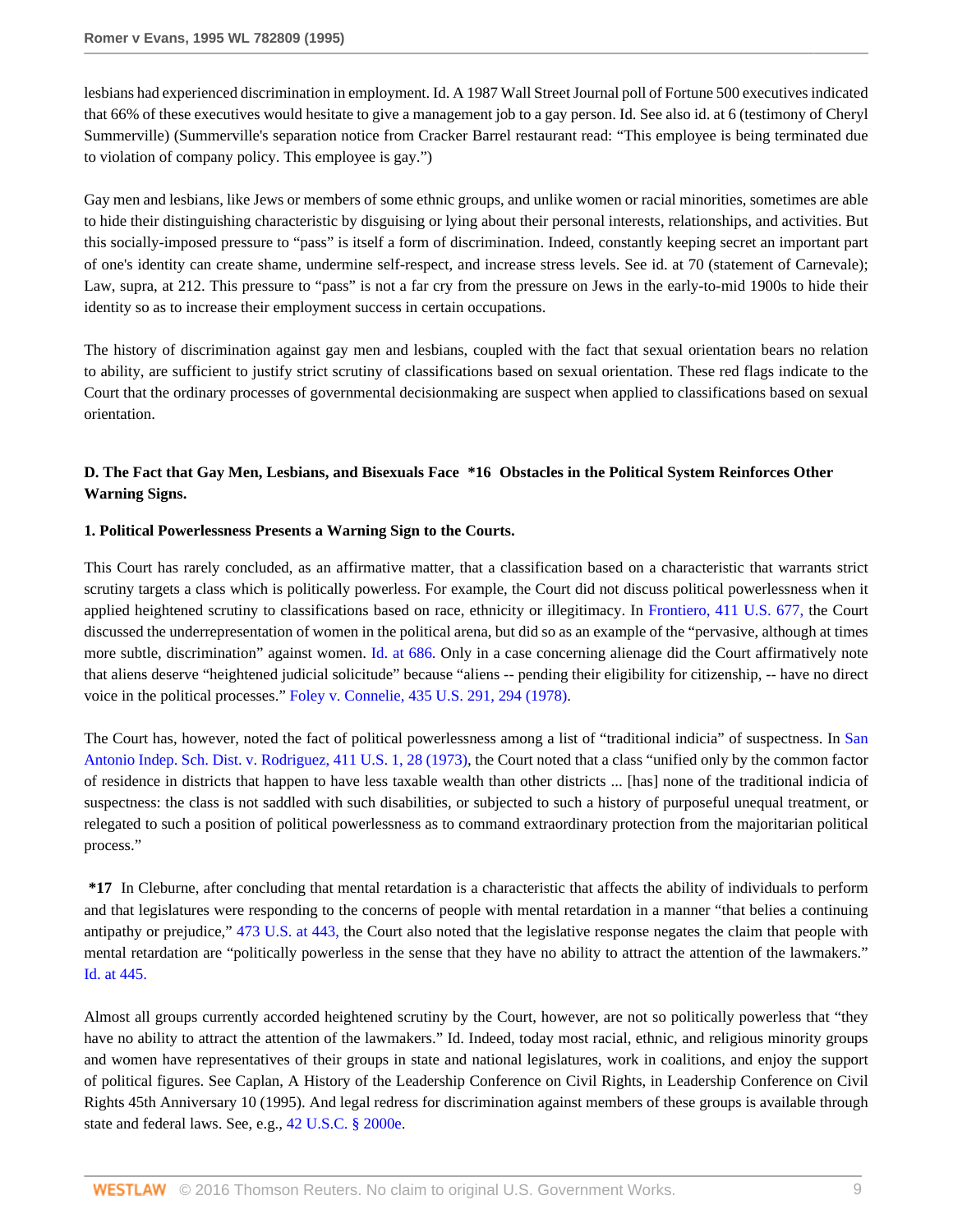lesbians had experienced discrimination in employment. Id. A 1987 Wall Street Journal poll of Fortune 500 executives indicated that 66% of these executives would hesitate to give a management job to a gay person. Id. See also id. at 6 (testimony of Cheryl Summerville) (Summerville's separation notice from Cracker Barrel restaurant read: "This employee is being terminated due to violation of company policy. This employee is gay.")

Gay men and lesbians, like Jews or members of some ethnic groups, and unlike women or racial minorities, sometimes are able to hide their distinguishing characteristic by disguising or lying about their personal interests, relationships, and activities. But this socially-imposed pressure to "pass" is itself a form of discrimination. Indeed, constantly keeping secret an important part of one's identity can create shame, undermine self-respect, and increase stress levels. See id. at 70 (statement of Carnevale); Law, supra, at 212. This pressure to "pass" is not a far cry from the pressure on Jews in the early-to-mid 1900s to hide their identity so as to increase their employment success in certain occupations.

The history of discrimination against gay men and lesbians, coupled with the fact that sexual orientation bears no relation to ability, are sufficient to justify strict scrutiny of classifications based on sexual orientation. These red flags indicate to the Court that the ordinary processes of governmental decisionmaking are suspect when applied to classifications based on sexual orientation.

## **D. The Fact that Gay Men, Lesbians, and Bisexuals Face \*16 Obstacles in the Political System Reinforces Other Warning Signs.**

### **1. Political Powerlessness Presents a Warning Sign to the Courts.**

This Court has rarely concluded, as an affirmative matter, that a classification based on a characteristic that warrants strict scrutiny targets a class which is politically powerless. For example, the Court did not discuss political powerlessness when it applied heightened scrutiny to classifications based on race, ethnicity or illegitimacy. In [Frontiero, 411 U.S. 677,](http://www.westlaw.com/Link/Document/FullText?findType=Y&serNum=1973126388&pubNum=780&originatingDoc=Ie6946d15482f11d9a5bfc0e3c4d1ea15&refType=RP&originationContext=document&vr=3.0&rs=cblt1.0&transitionType=DocumentItem&contextData=(sc.Search)) the Court discussed the underrepresentation of women in the political arena, but did so as an example of the "pervasive, although at times more subtle, discrimination" against women. [Id. at 686.](http://www.westlaw.com/Link/Document/FullText?findType=Y&serNum=1973126388&originatingDoc=Ie6946d15482f11d9a5bfc0e3c4d1ea15&refType=RP&originationContext=document&vr=3.0&rs=cblt1.0&transitionType=DocumentItem&contextData=(sc.Search)) Only in a case concerning alienage did the Court affirmatively note that aliens deserve "heightened judicial solicitude" because "aliens -- pending their eligibility for citizenship, -- have no direct voice in the political processes." [Foley v. Connelie, 435 U.S. 291, 294 \(1978\).](http://www.westlaw.com/Link/Document/FullText?findType=Y&serNum=1978114203&pubNum=780&originatingDoc=Ie6946d15482f11d9a5bfc0e3c4d1ea15&refType=RP&fi=co_pp_sp_780_294&originationContext=document&vr=3.0&rs=cblt1.0&transitionType=DocumentItem&contextData=(sc.Search)#co_pp_sp_780_294)

The Court has, however, noted the fact of political powerlessness among a list of "traditional indicia" of suspectness. In [San](http://www.westlaw.com/Link/Document/FullText?findType=Y&serNum=1973126364&pubNum=780&originatingDoc=Ie6946d15482f11d9a5bfc0e3c4d1ea15&refType=RP&fi=co_pp_sp_780_28&originationContext=document&vr=3.0&rs=cblt1.0&transitionType=DocumentItem&contextData=(sc.Search)#co_pp_sp_780_28) [Antonio Indep. Sch. Dist. v. Rodriguez, 411 U.S. 1, 28 \(1973\)](http://www.westlaw.com/Link/Document/FullText?findType=Y&serNum=1973126364&pubNum=780&originatingDoc=Ie6946d15482f11d9a5bfc0e3c4d1ea15&refType=RP&fi=co_pp_sp_780_28&originationContext=document&vr=3.0&rs=cblt1.0&transitionType=DocumentItem&contextData=(sc.Search)#co_pp_sp_780_28), the Court noted that a class "unified only by the common factor of residence in districts that happen to have less taxable wealth than other districts ... [has] none of the traditional indicia of suspectness: the class is not saddled with such disabilities, or subjected to such a history of purposeful unequal treatment, or relegated to such a position of political powerlessness as to command extraordinary protection from the majoritarian political process."

**\*17** In Cleburne, after concluding that mental retardation is a characteristic that affects the ability of individuals to perform and that legislatures were responding to the concerns of people with mental retardation in a manner "that belies a continuing antipathy or prejudice," [473 U.S. at 443,](http://www.westlaw.com/Link/Document/FullText?findType=Y&serNum=1985133474&pubNum=780&originatingDoc=Ie6946d15482f11d9a5bfc0e3c4d1ea15&refType=RP&fi=co_pp_sp_780_443&originationContext=document&vr=3.0&rs=cblt1.0&transitionType=DocumentItem&contextData=(sc.Search)#co_pp_sp_780_443) the Court also noted that the legislative response negates the claim that people with mental retardation are "politically powerless in the sense that they have no ability to attract the attention of the lawmakers." [Id. at 445.](http://www.westlaw.com/Link/Document/FullText?findType=Y&serNum=1985133474&originatingDoc=Ie6946d15482f11d9a5bfc0e3c4d1ea15&refType=RP&originationContext=document&vr=3.0&rs=cblt1.0&transitionType=DocumentItem&contextData=(sc.Search))

Almost all groups currently accorded heightened scrutiny by the Court, however, are not so politically powerless that "they have no ability to attract the attention of the lawmakers." Id. Indeed, today most racial, ethnic, and religious minority groups and women have representatives of their groups in state and national legislatures, work in coalitions, and enjoy the support of political figures. See Caplan, A History of the Leadership Conference on Civil Rights, in Leadership Conference on Civil Rights 45th Anniversary 10 (1995). And legal redress for discrimination against members of these groups is available through state and federal laws. See, e.g., [42 U.S.C. § 2000e](http://www.westlaw.com/Link/Document/FullText?findType=L&pubNum=1000546&cite=42USCAS2000E&originatingDoc=Ie6946d15482f11d9a5bfc0e3c4d1ea15&refType=LQ&originationContext=document&vr=3.0&rs=cblt1.0&transitionType=DocumentItem&contextData=(sc.Search)).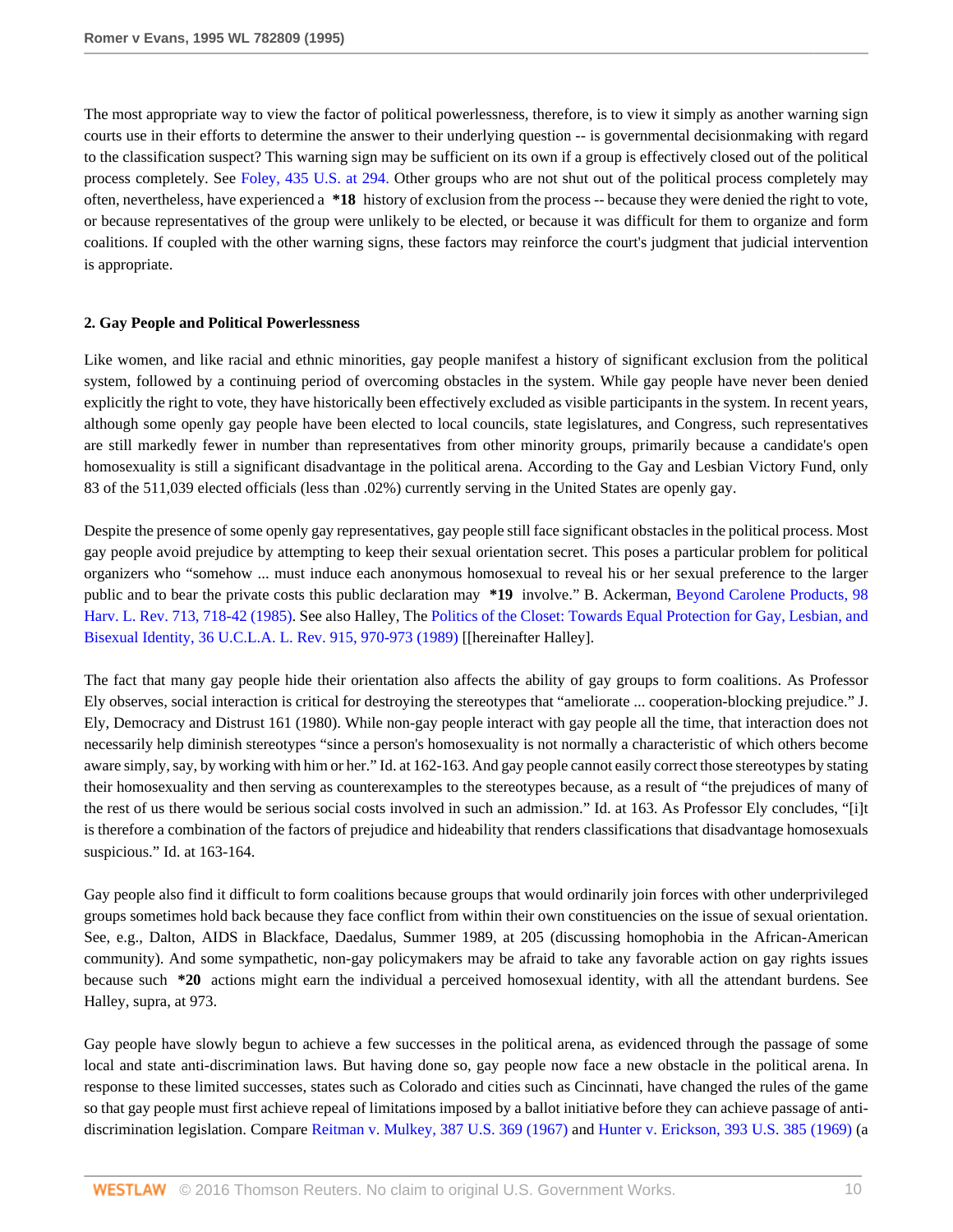The most appropriate way to view the factor of political powerlessness, therefore, is to view it simply as another warning sign courts use in their efforts to determine the answer to their underlying question -- is governmental decisionmaking with regard to the classification suspect? This warning sign may be sufficient on its own if a group is effectively closed out of the political process completely. See [Foley, 435 U.S. at 294.](http://www.westlaw.com/Link/Document/FullText?findType=Y&serNum=1978114203&pubNum=780&originatingDoc=Ie6946d15482f11d9a5bfc0e3c4d1ea15&refType=RP&fi=co_pp_sp_780_294&originationContext=document&vr=3.0&rs=cblt1.0&transitionType=DocumentItem&contextData=(sc.Search)#co_pp_sp_780_294) Other groups who are not shut out of the political process completely may often, nevertheless, have experienced a **\*18** history of exclusion from the process -- because they were denied the right to vote, or because representatives of the group were unlikely to be elected, or because it was difficult for them to organize and form coalitions. If coupled with the other warning signs, these factors may reinforce the court's judgment that judicial intervention is appropriate.

### **2. Gay People and Political Powerlessness**

Like women, and like racial and ethnic minorities, gay people manifest a history of significant exclusion from the political system, followed by a continuing period of overcoming obstacles in the system. While gay people have never been denied explicitly the right to vote, they have historically been effectively excluded as visible participants in the system. In recent years, although some openly gay people have been elected to local councils, state legislatures, and Congress, such representatives are still markedly fewer in number than representatives from other minority groups, primarily because a candidate's open homosexuality is still a significant disadvantage in the political arena. According to the Gay and Lesbian Victory Fund, only 83 of the 511,039 elected officials (less than .02%) currently serving in the United States are openly gay.

Despite the presence of some openly gay representatives, gay people still face significant obstacles in the political process. Most gay people avoid prejudice by attempting to keep their sexual orientation secret. This poses a particular problem for political organizers who "somehow ... must induce each anonymous homosexual to reveal his or her sexual preference to the larger public and to bear the private costs this public declaration may **\*19** involve." B. Ackerman, [Beyond Carolene Products, 98](http://www.westlaw.com/Link/Document/FullText?findType=Y&serNum=0102054642&pubNum=3084&originatingDoc=Ie6946d15482f11d9a5bfc0e3c4d1ea15&refType=LR&fi=co_pp_sp_3084_718&originationContext=document&vr=3.0&rs=cblt1.0&transitionType=DocumentItem&contextData=(sc.Search)#co_pp_sp_3084_718) [Harv. L. Rev. 713, 718-42 \(1985\).](http://www.westlaw.com/Link/Document/FullText?findType=Y&serNum=0102054642&pubNum=3084&originatingDoc=Ie6946d15482f11d9a5bfc0e3c4d1ea15&refType=LR&fi=co_pp_sp_3084_718&originationContext=document&vr=3.0&rs=cblt1.0&transitionType=DocumentItem&contextData=(sc.Search)#co_pp_sp_3084_718) See also Halley, The [Politics of the Closet: Towards Equal Protection for Gay, Lesbian, and](http://www.westlaw.com/Link/Document/FullText?findType=Y&serNum=0102874266&pubNum=3041&originatingDoc=Ie6946d15482f11d9a5bfc0e3c4d1ea15&refType=LR&fi=co_pp_sp_3041_970&originationContext=document&vr=3.0&rs=cblt1.0&transitionType=DocumentItem&contextData=(sc.Search)#co_pp_sp_3041_970) [Bisexual Identity, 36 U.C.L.A. L. Rev. 915, 970-973 \(1989\)](http://www.westlaw.com/Link/Document/FullText?findType=Y&serNum=0102874266&pubNum=3041&originatingDoc=Ie6946d15482f11d9a5bfc0e3c4d1ea15&refType=LR&fi=co_pp_sp_3041_970&originationContext=document&vr=3.0&rs=cblt1.0&transitionType=DocumentItem&contextData=(sc.Search)#co_pp_sp_3041_970) [[hereinafter Halley].

The fact that many gay people hide their orientation also affects the ability of gay groups to form coalitions. As Professor Ely observes, social interaction is critical for destroying the stereotypes that "ameliorate ... cooperation-blocking prejudice." J. Ely, Democracy and Distrust 161 (1980). While non-gay people interact with gay people all the time, that interaction does not necessarily help diminish stereotypes "since a person's homosexuality is not normally a characteristic of which others become aware simply, say, by working with him or her." Id. at 162-163. And gay people cannot easily correct those stereotypes by stating their homosexuality and then serving as counterexamples to the stereotypes because, as a result of "the prejudices of many of the rest of us there would be serious social costs involved in such an admission." Id. at 163. As Professor Ely concludes, "[i]t is therefore a combination of the factors of prejudice and hideability that renders classifications that disadvantage homosexuals suspicious." Id. at 163-164.

Gay people also find it difficult to form coalitions because groups that would ordinarily join forces with other underprivileged groups sometimes hold back because they face conflict from within their own constituencies on the issue of sexual orientation. See, e.g., Dalton, AIDS in Blackface, Daedalus, Summer 1989, at 205 (discussing homophobia in the African-American community). And some sympathetic, non-gay policymakers may be afraid to take any favorable action on gay rights issues because such **\*20** actions might earn the individual a perceived homosexual identity, with all the attendant burdens. See Halley, supra, at 973.

Gay people have slowly begun to achieve a few successes in the political arena, as evidenced through the passage of some local and state anti-discrimination laws. But having done so, gay people now face a new obstacle in the political arena. In response to these limited successes, states such as Colorado and cities such as Cincinnati, have changed the rules of the game so that gay people must first achieve repeal of limitations imposed by a ballot initiative before they can achieve passage of antidiscrimination legislation. Compare [Reitman v. Mulkey, 387 U.S. 369 \(1967\)](http://www.westlaw.com/Link/Document/FullText?findType=Y&serNum=1967129529&pubNum=780&originatingDoc=Ie6946d15482f11d9a5bfc0e3c4d1ea15&refType=RP&originationContext=document&vr=3.0&rs=cblt1.0&transitionType=DocumentItem&contextData=(sc.Search)) and [Hunter v. Erickson, 393 U.S. 385 \(1969\)](http://www.westlaw.com/Link/Document/FullText?findType=Y&serNum=1969132908&pubNum=780&originatingDoc=Ie6946d15482f11d9a5bfc0e3c4d1ea15&refType=RP&originationContext=document&vr=3.0&rs=cblt1.0&transitionType=DocumentItem&contextData=(sc.Search)) (a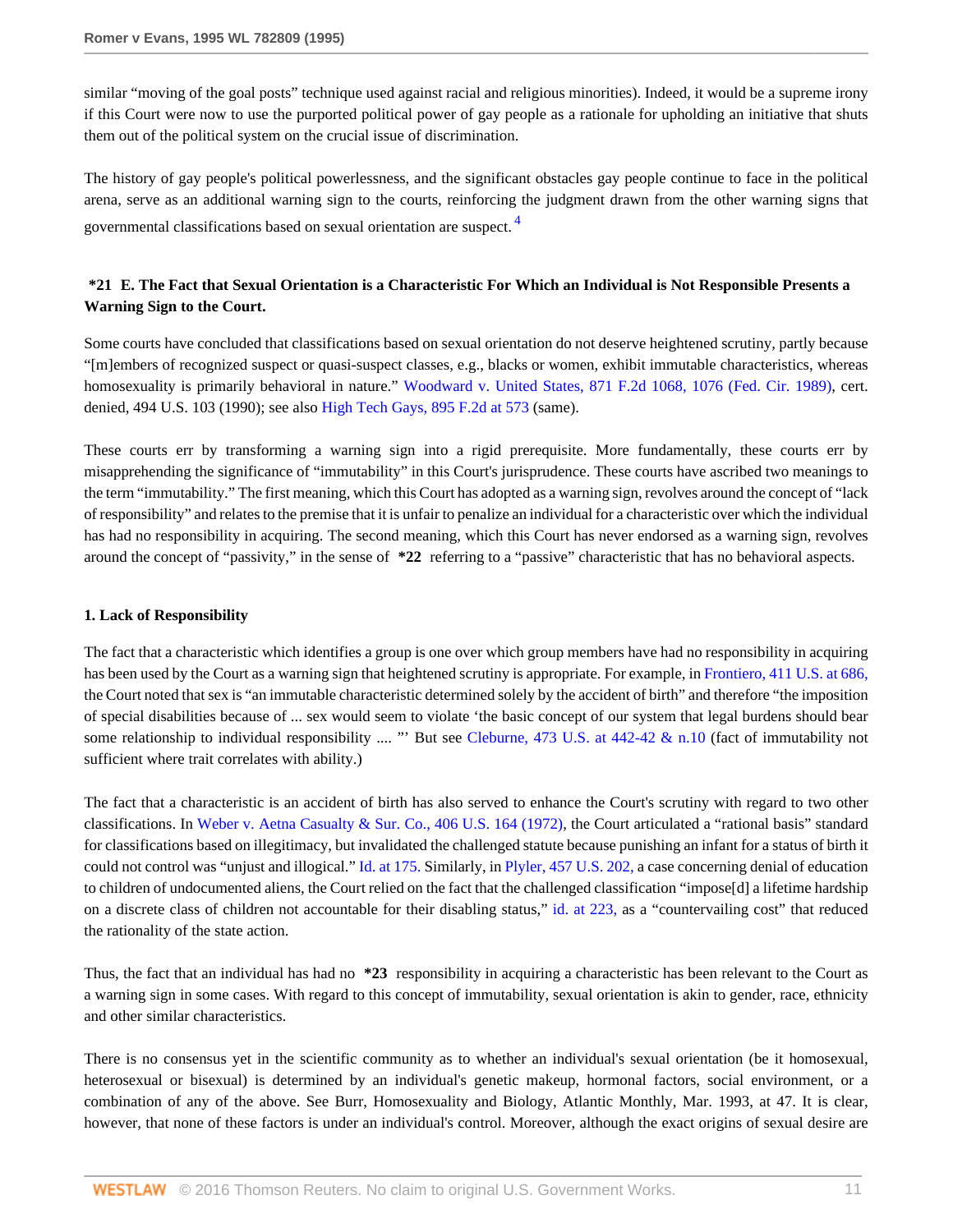similar "moving of the goal posts" technique used against racial and religious minorities). Indeed, it would be a supreme irony if this Court were now to use the purported political power of gay people as a rationale for upholding an initiative that shuts them out of the political system on the crucial issue of discrimination.

<span id="page-10-0"></span>The history of gay people's political powerlessness, and the significant obstacles gay people continue to face in the political arena, serve as an additional warning sign to the courts, reinforcing the judgment drawn from the other warning signs that governmental classifications based on sexual orientation are suspect. [4](#page-16-1)

## **\*21 E. The Fact that Sexual Orientation is a Characteristic For Which an Individual is Not Responsible Presents a Warning Sign to the Court.**

Some courts have concluded that classifications based on sexual orientation do not deserve heightened scrutiny, partly because "[m]embers of recognized suspect or quasi-suspect classes, e.g., blacks or women, exhibit immutable characteristics, whereas homosexuality is primarily behavioral in nature." [Woodward v. United States, 871 F.2d 1068, 1076 \(Fed. Cir. 1989\),](http://www.westlaw.com/Link/Document/FullText?findType=Y&serNum=1989047212&pubNum=350&originatingDoc=Ie6946d15482f11d9a5bfc0e3c4d1ea15&refType=RP&fi=co_pp_sp_350_1076&originationContext=document&vr=3.0&rs=cblt1.0&transitionType=DocumentItem&contextData=(sc.Search)#co_pp_sp_350_1076) cert. denied, 494 U.S. 103 (1990); see also [High Tech Gays, 895 F.2d at 573](http://www.westlaw.com/Link/Document/FullText?findType=Y&serNum=1990030040&pubNum=350&originatingDoc=Ie6946d15482f11d9a5bfc0e3c4d1ea15&refType=RP&fi=co_pp_sp_350_573&originationContext=document&vr=3.0&rs=cblt1.0&transitionType=DocumentItem&contextData=(sc.Search)#co_pp_sp_350_573) (same).

These courts err by transforming a warning sign into a rigid prerequisite. More fundamentally, these courts err by misapprehending the significance of "immutability" in this Court's jurisprudence. These courts have ascribed two meanings to the term "immutability." The first meaning, which this Court has adopted as a warning sign, revolves around the concept of "lack of responsibility" and relates to the premise that it is unfair to penalize an individual for a characteristic over which the individual has had no responsibility in acquiring. The second meaning, which this Court has never endorsed as a warning sign, revolves around the concept of "passivity," in the sense of **\*22** referring to a "passive" characteristic that has no behavioral aspects.

### **1. Lack of Responsibility**

The fact that a characteristic which identifies a group is one over which group members have had no responsibility in acquiring has been used by the Court as a warning sign that heightened scrutiny is appropriate. For example, in [Frontiero, 411 U.S. at 686,](http://www.westlaw.com/Link/Document/FullText?findType=Y&serNum=1973126388&pubNum=780&originatingDoc=Ie6946d15482f11d9a5bfc0e3c4d1ea15&refType=RP&fi=co_pp_sp_780_686&originationContext=document&vr=3.0&rs=cblt1.0&transitionType=DocumentItem&contextData=(sc.Search)#co_pp_sp_780_686) the Court noted that sex is "an immutable characteristic determined solely by the accident of birth" and therefore "the imposition of special disabilities because of ... sex would seem to violate 'the basic concept of our system that legal burdens should bear some relationship to individual responsibility .... "' But see Cleburne, 473 U.S. at 442-42  $\&$  n.10 (fact of immutability not sufficient where trait correlates with ability.)

The fact that a characteristic is an accident of birth has also served to enhance the Court's scrutiny with regard to two other classifications. In [Weber v. Aetna Casualty & Sur. Co., 406 U.S. 164 \(1972\),](http://www.westlaw.com/Link/Document/FullText?findType=Y&serNum=1972127110&pubNum=780&originatingDoc=Ie6946d15482f11d9a5bfc0e3c4d1ea15&refType=RP&originationContext=document&vr=3.0&rs=cblt1.0&transitionType=DocumentItem&contextData=(sc.Search)) the Court articulated a "rational basis" standard for classifications based on illegitimacy, but invalidated the challenged statute because punishing an infant for a status of birth it could not control was "unjust and illogical." [Id. at 175.](http://www.westlaw.com/Link/Document/FullText?findType=Y&serNum=1972127110&originatingDoc=Ie6946d15482f11d9a5bfc0e3c4d1ea15&refType=RP&originationContext=document&vr=3.0&rs=cblt1.0&transitionType=DocumentItem&contextData=(sc.Search)) Similarly, in [Plyler, 457 U.S. 202,](http://www.westlaw.com/Link/Document/FullText?findType=Y&serNum=1982126797&pubNum=780&originatingDoc=Ie6946d15482f11d9a5bfc0e3c4d1ea15&refType=RP&originationContext=document&vr=3.0&rs=cblt1.0&transitionType=DocumentItem&contextData=(sc.Search)) a case concerning denial of education to children of undocumented aliens, the Court relied on the fact that the challenged classification "impose[d] a lifetime hardship on a discrete class of children not accountable for their disabling status," [id. at 223,](http://www.westlaw.com/Link/Document/FullText?findType=Y&serNum=1982126797&originatingDoc=Ie6946d15482f11d9a5bfc0e3c4d1ea15&refType=RP&originationContext=document&vr=3.0&rs=cblt1.0&transitionType=DocumentItem&contextData=(sc.Search)) as a "countervailing cost" that reduced the rationality of the state action.

Thus, the fact that an individual has had no **\*23** responsibility in acquiring a characteristic has been relevant to the Court as a warning sign in some cases. With regard to this concept of immutability, sexual orientation is akin to gender, race, ethnicity and other similar characteristics.

There is no consensus yet in the scientific community as to whether an individual's sexual orientation (be it homosexual, heterosexual or bisexual) is determined by an individual's genetic makeup, hormonal factors, social environment, or a combination of any of the above. See Burr, Homosexuality and Biology, Atlantic Monthly, Mar. 1993, at 47. It is clear, however, that none of these factors is under an individual's control. Moreover, although the exact origins of sexual desire are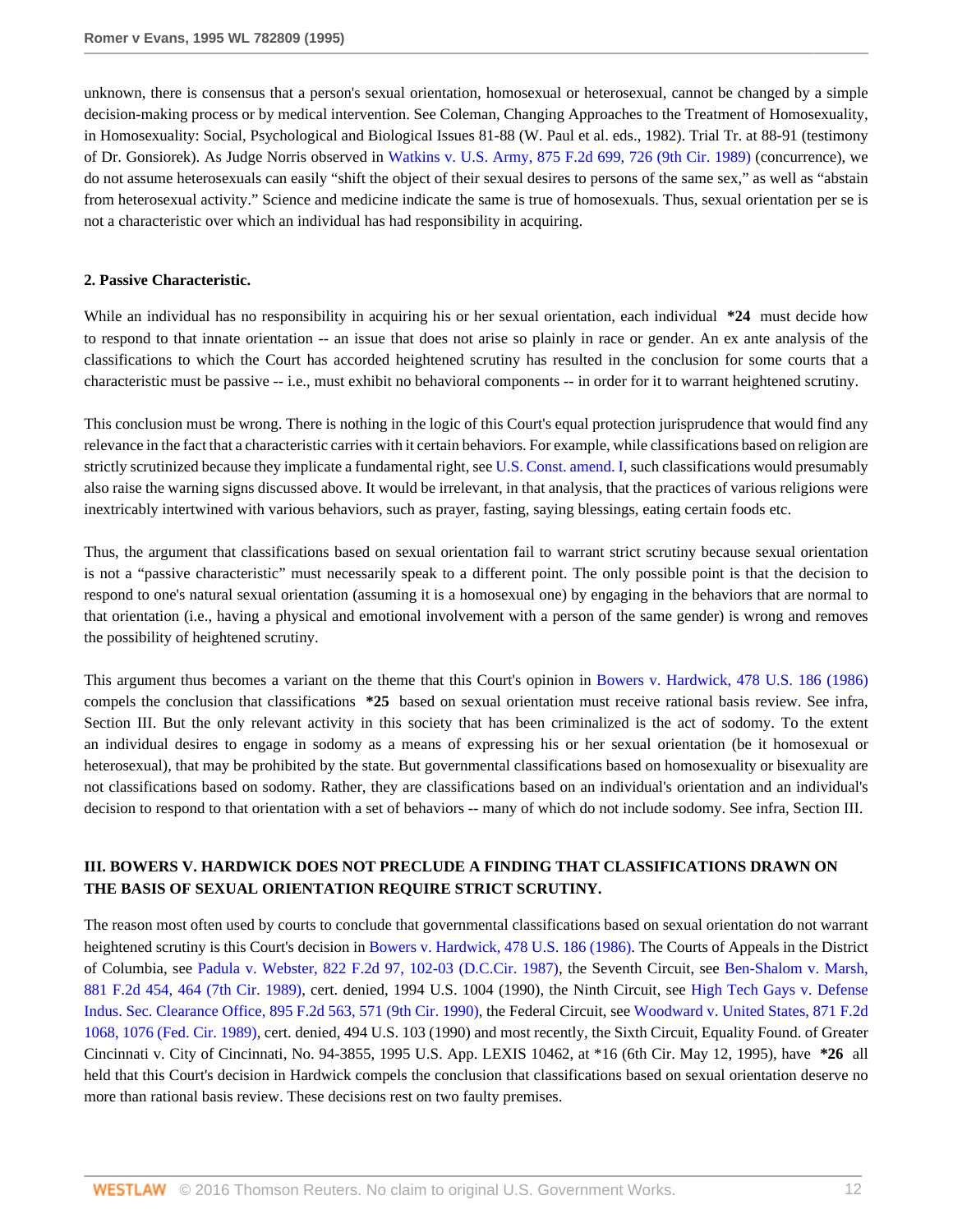unknown, there is consensus that a person's sexual orientation, homosexual or heterosexual, cannot be changed by a simple decision-making process or by medical intervention. See Coleman, Changing Approaches to the Treatment of Homosexuality, in Homosexuality: Social, Psychological and Biological Issues 81-88 (W. Paul et al. eds., 1982). Trial Tr. at 88-91 (testimony of Dr. Gonsiorek). As Judge Norris observed in [Watkins v. U.S. Army, 875 F.2d 699, 726 \(9th Cir. 1989\)](http://www.westlaw.com/Link/Document/FullText?findType=Y&serNum=1989065840&pubNum=350&originatingDoc=Ie6946d15482f11d9a5bfc0e3c4d1ea15&refType=RP&fi=co_pp_sp_350_726&originationContext=document&vr=3.0&rs=cblt1.0&transitionType=DocumentItem&contextData=(sc.Search)#co_pp_sp_350_726) (concurrence), we do not assume heterosexuals can easily "shift the object of their sexual desires to persons of the same sex," as well as "abstain from heterosexual activity." Science and medicine indicate the same is true of homosexuals. Thus, sexual orientation per se is not a characteristic over which an individual has had responsibility in acquiring.

#### **2. Passive Characteristic.**

While an individual has no responsibility in acquiring his or her sexual orientation, each individual **\*24** must decide how to respond to that innate orientation -- an issue that does not arise so plainly in race or gender. An ex ante analysis of the classifications to which the Court has accorded heightened scrutiny has resulted in the conclusion for some courts that a characteristic must be passive -- i.e., must exhibit no behavioral components -- in order for it to warrant heightened scrutiny.

This conclusion must be wrong. There is nothing in the logic of this Court's equal protection jurisprudence that would find any relevance in the fact that a characteristic carries with it certain behaviors. For example, while classifications based on religion are strictly scrutinized because they implicate a fundamental right, see [U.S. Const. amend. I,](http://www.westlaw.com/Link/Document/FullText?findType=L&pubNum=1000546&cite=USCOAMENDI&originatingDoc=Ie6946d15482f11d9a5bfc0e3c4d1ea15&refType=LQ&originationContext=document&vr=3.0&rs=cblt1.0&transitionType=DocumentItem&contextData=(sc.Search)) such classifications would presumably also raise the warning signs discussed above. It would be irrelevant, in that analysis, that the practices of various religions were inextricably intertwined with various behaviors, such as prayer, fasting, saying blessings, eating certain foods etc.

Thus, the argument that classifications based on sexual orientation fail to warrant strict scrutiny because sexual orientation is not a "passive characteristic" must necessarily speak to a different point. The only possible point is that the decision to respond to one's natural sexual orientation (assuming it is a homosexual one) by engaging in the behaviors that are normal to that orientation (i.e., having a physical and emotional involvement with a person of the same gender) is wrong and removes the possibility of heightened scrutiny.

This argument thus becomes a variant on the theme that this Court's opinion in [Bowers v. Hardwick, 478 U.S. 186 \(1986\)](http://www.westlaw.com/Link/Document/FullText?findType=Y&serNum=1986133440&pubNum=780&originatingDoc=Ie6946d15482f11d9a5bfc0e3c4d1ea15&refType=RP&originationContext=document&vr=3.0&rs=cblt1.0&transitionType=DocumentItem&contextData=(sc.Search)) compels the conclusion that classifications **\*25** based on sexual orientation must receive rational basis review. See infra, Section III. But the only relevant activity in this society that has been criminalized is the act of sodomy. To the extent an individual desires to engage in sodomy as a means of expressing his or her sexual orientation (be it homosexual or heterosexual), that may be prohibited by the state. But governmental classifications based on homosexuality or bisexuality are not classifications based on sodomy. Rather, they are classifications based on an individual's orientation and an individual's decision to respond to that orientation with a set of behaviors -- many of which do not include sodomy. See infra, Section III.

## **III. BOWERS V. HARDWICK DOES NOT PRECLUDE A FINDING THAT CLASSIFICATIONS DRAWN ON THE BASIS OF SEXUAL ORIENTATION REQUIRE STRICT SCRUTINY.**

The reason most often used by courts to conclude that governmental classifications based on sexual orientation do not warrant heightened scrutiny is this Court's decision in [Bowers v. Hardwick, 478 U.S. 186 \(1986\).](http://www.westlaw.com/Link/Document/FullText?findType=Y&serNum=1986133440&pubNum=780&originatingDoc=Ie6946d15482f11d9a5bfc0e3c4d1ea15&refType=RP&originationContext=document&vr=3.0&rs=cblt1.0&transitionType=DocumentItem&contextData=(sc.Search)) The Courts of Appeals in the District of Columbia, see [Padula v. Webster, 822 F.2d 97, 102-03 \(D.C.Cir. 1987\)](http://www.westlaw.com/Link/Document/FullText?findType=Y&serNum=1987080232&pubNum=350&originatingDoc=Ie6946d15482f11d9a5bfc0e3c4d1ea15&refType=RP&fi=co_pp_sp_350_102&originationContext=document&vr=3.0&rs=cblt1.0&transitionType=DocumentItem&contextData=(sc.Search)#co_pp_sp_350_102), the Seventh Circuit, see [Ben-Shalom v. Marsh,](http://www.westlaw.com/Link/Document/FullText?findType=Y&serNum=1989118568&pubNum=350&originatingDoc=Ie6946d15482f11d9a5bfc0e3c4d1ea15&refType=RP&fi=co_pp_sp_350_464&originationContext=document&vr=3.0&rs=cblt1.0&transitionType=DocumentItem&contextData=(sc.Search)#co_pp_sp_350_464) [881 F.2d 454, 464 \(7th Cir. 1989\),](http://www.westlaw.com/Link/Document/FullText?findType=Y&serNum=1989118568&pubNum=350&originatingDoc=Ie6946d15482f11d9a5bfc0e3c4d1ea15&refType=RP&fi=co_pp_sp_350_464&originationContext=document&vr=3.0&rs=cblt1.0&transitionType=DocumentItem&contextData=(sc.Search)#co_pp_sp_350_464) cert. denied, 1994 U.S. 1004 (1990), the Ninth Circuit, see [High Tech Gays v. Defense](http://www.westlaw.com/Link/Document/FullText?findType=Y&serNum=1990030040&pubNum=350&originatingDoc=Ie6946d15482f11d9a5bfc0e3c4d1ea15&refType=RP&fi=co_pp_sp_350_571&originationContext=document&vr=3.0&rs=cblt1.0&transitionType=DocumentItem&contextData=(sc.Search)#co_pp_sp_350_571) [Indus. Sec. Clearance Office, 895 F.2d 563, 571 \(9th Cir. 1990\),](http://www.westlaw.com/Link/Document/FullText?findType=Y&serNum=1990030040&pubNum=350&originatingDoc=Ie6946d15482f11d9a5bfc0e3c4d1ea15&refType=RP&fi=co_pp_sp_350_571&originationContext=document&vr=3.0&rs=cblt1.0&transitionType=DocumentItem&contextData=(sc.Search)#co_pp_sp_350_571) the Federal Circuit, see [Woodward v. United States, 871 F.2d](http://www.westlaw.com/Link/Document/FullText?findType=Y&serNum=1989047212&pubNum=350&originatingDoc=Ie6946d15482f11d9a5bfc0e3c4d1ea15&refType=RP&fi=co_pp_sp_350_1076&originationContext=document&vr=3.0&rs=cblt1.0&transitionType=DocumentItem&contextData=(sc.Search)#co_pp_sp_350_1076) [1068, 1076 \(Fed. Cir. 1989\)](http://www.westlaw.com/Link/Document/FullText?findType=Y&serNum=1989047212&pubNum=350&originatingDoc=Ie6946d15482f11d9a5bfc0e3c4d1ea15&refType=RP&fi=co_pp_sp_350_1076&originationContext=document&vr=3.0&rs=cblt1.0&transitionType=DocumentItem&contextData=(sc.Search)#co_pp_sp_350_1076), cert. denied, 494 U.S. 103 (1990) and most recently, the Sixth Circuit, Equality Found. of Greater Cincinnati v. City of Cincinnati, No. 94-3855, 1995 U.S. App. LEXIS 10462, at \*16 (6th Cir. May 12, 1995), have **\*26** all held that this Court's decision in Hardwick compels the conclusion that classifications based on sexual orientation deserve no more than rational basis review. These decisions rest on two faulty premises.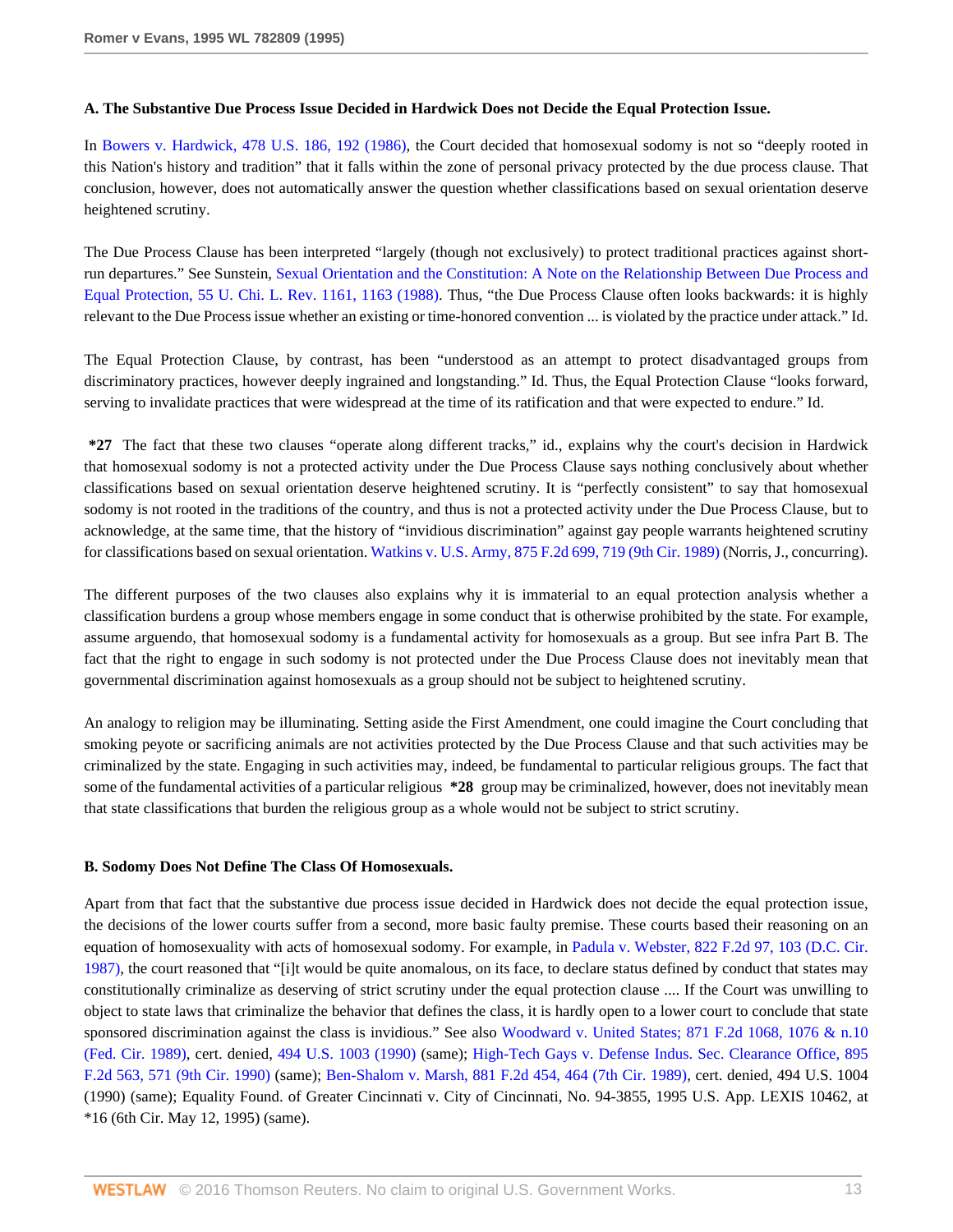### **A. The Substantive Due Process Issue Decided in Hardwick Does not Decide the Equal Protection Issue.**

In [Bowers v. Hardwick, 478 U.S. 186, 192 \(1986\)](http://www.westlaw.com/Link/Document/FullText?findType=Y&serNum=1986133440&pubNum=780&originatingDoc=Ie6946d15482f11d9a5bfc0e3c4d1ea15&refType=RP&fi=co_pp_sp_780_192&originationContext=document&vr=3.0&rs=cblt1.0&transitionType=DocumentItem&contextData=(sc.Search)#co_pp_sp_780_192), the Court decided that homosexual sodomy is not so "deeply rooted in this Nation's history and tradition" that it falls within the zone of personal privacy protected by the due process clause. That conclusion, however, does not automatically answer the question whether classifications based on sexual orientation deserve heightened scrutiny.

The Due Process Clause has been interpreted "largely (though not exclusively) to protect traditional practices against shortrun departures." See Sunstein, [Sexual Orientation and the Constitution: A Note on the Relationship Between Due Process and](http://www.westlaw.com/Link/Document/FullText?findType=Y&serNum=0101628672&pubNum=3039&originatingDoc=Ie6946d15482f11d9a5bfc0e3c4d1ea15&refType=LR&fi=co_pp_sp_3039_1163&originationContext=document&vr=3.0&rs=cblt1.0&transitionType=DocumentItem&contextData=(sc.Search)#co_pp_sp_3039_1163) [Equal Protection, 55 U. Chi. L. Rev. 1161, 1163 \(1988\)](http://www.westlaw.com/Link/Document/FullText?findType=Y&serNum=0101628672&pubNum=3039&originatingDoc=Ie6946d15482f11d9a5bfc0e3c4d1ea15&refType=LR&fi=co_pp_sp_3039_1163&originationContext=document&vr=3.0&rs=cblt1.0&transitionType=DocumentItem&contextData=(sc.Search)#co_pp_sp_3039_1163). Thus, "the Due Process Clause often looks backwards: it is highly relevant to the Due Process issue whether an existing or time-honored convention ... is violated by the practice under attack." Id.

The Equal Protection Clause, by contrast, has been "understood as an attempt to protect disadvantaged groups from discriminatory practices, however deeply ingrained and longstanding." Id. Thus, the Equal Protection Clause "looks forward, serving to invalidate practices that were widespread at the time of its ratification and that were expected to endure." Id.

**\*27** The fact that these two clauses "operate along different tracks," id., explains why the court's decision in Hardwick that homosexual sodomy is not a protected activity under the Due Process Clause says nothing conclusively about whether classifications based on sexual orientation deserve heightened scrutiny. It is "perfectly consistent" to say that homosexual sodomy is not rooted in the traditions of the country, and thus is not a protected activity under the Due Process Clause, but to acknowledge, at the same time, that the history of "invidious discrimination" against gay people warrants heightened scrutiny for classifications based on sexual orientation. [Watkins v. U.S. Army, 875 F.2d 699, 719 \(9th Cir. 1989\)](http://www.westlaw.com/Link/Document/FullText?findType=Y&serNum=1989065840&pubNum=350&originatingDoc=Ie6946d15482f11d9a5bfc0e3c4d1ea15&refType=RP&fi=co_pp_sp_350_719&originationContext=document&vr=3.0&rs=cblt1.0&transitionType=DocumentItem&contextData=(sc.Search)#co_pp_sp_350_719) (Norris, J., concurring).

The different purposes of the two clauses also explains why it is immaterial to an equal protection analysis whether a classification burdens a group whose members engage in some conduct that is otherwise prohibited by the state. For example, assume arguendo, that homosexual sodomy is a fundamental activity for homosexuals as a group. But see infra Part B. The fact that the right to engage in such sodomy is not protected under the Due Process Clause does not inevitably mean that governmental discrimination against homosexuals as a group should not be subject to heightened scrutiny.

An analogy to religion may be illuminating. Setting aside the First Amendment, one could imagine the Court concluding that smoking peyote or sacrificing animals are not activities protected by the Due Process Clause and that such activities may be criminalized by the state. Engaging in such activities may, indeed, be fundamental to particular religious groups. The fact that some of the fundamental activities of a particular religious **\*28** group may be criminalized, however, does not inevitably mean that state classifications that burden the religious group as a whole would not be subject to strict scrutiny.

### **B. Sodomy Does Not Define The Class Of Homosexuals.**

Apart from that fact that the substantive due process issue decided in Hardwick does not decide the equal protection issue, the decisions of the lower courts suffer from a second, more basic faulty premise. These courts based their reasoning on an equation of homosexuality with acts of homosexual sodomy. For example, in [Padula v. Webster, 822 F.2d 97, 103 \(D.C. Cir.](http://www.westlaw.com/Link/Document/FullText?findType=Y&serNum=1987080232&pubNum=350&originatingDoc=Ie6946d15482f11d9a5bfc0e3c4d1ea15&refType=RP&fi=co_pp_sp_350_103&originationContext=document&vr=3.0&rs=cblt1.0&transitionType=DocumentItem&contextData=(sc.Search)#co_pp_sp_350_103) [1987\)](http://www.westlaw.com/Link/Document/FullText?findType=Y&serNum=1987080232&pubNum=350&originatingDoc=Ie6946d15482f11d9a5bfc0e3c4d1ea15&refType=RP&fi=co_pp_sp_350_103&originationContext=document&vr=3.0&rs=cblt1.0&transitionType=DocumentItem&contextData=(sc.Search)#co_pp_sp_350_103), the court reasoned that "[i]t would be quite anomalous, on its face, to declare status defined by conduct that states may constitutionally criminalize as deserving of strict scrutiny under the equal protection clause .... If the Court was unwilling to object to state laws that criminalize the behavior that defines the class, it is hardly open to a lower court to conclude that state sponsored discrimination against the class is invidious." See also [Woodward v. United States; 871 F.2d 1068, 1076 & n.10](http://www.westlaw.com/Link/Document/FullText?findType=Y&serNum=1989047212&pubNum=350&originatingDoc=Ie6946d15482f11d9a5bfc0e3c4d1ea15&refType=RP&fi=co_pp_sp_350_1076&originationContext=document&vr=3.0&rs=cblt1.0&transitionType=DocumentItem&contextData=(sc.Search)#co_pp_sp_350_1076) [\(Fed. Cir. 1989\),](http://www.westlaw.com/Link/Document/FullText?findType=Y&serNum=1989047212&pubNum=350&originatingDoc=Ie6946d15482f11d9a5bfc0e3c4d1ea15&refType=RP&fi=co_pp_sp_350_1076&originationContext=document&vr=3.0&rs=cblt1.0&transitionType=DocumentItem&contextData=(sc.Search)#co_pp_sp_350_1076) cert. denied, [494 U.S. 1003 \(1990\)](http://www.westlaw.com/Link/Document/FullText?findType=Y&serNum=1989140609&pubNum=780&originatingDoc=Ie6946d15482f11d9a5bfc0e3c4d1ea15&refType=RP&originationContext=document&vr=3.0&rs=cblt1.0&transitionType=DocumentItem&contextData=(sc.Search)) (same); [High-Tech Gays v. Defense Indus. Sec. Clearance Office, 895](http://www.westlaw.com/Link/Document/FullText?findType=Y&serNum=1990030040&pubNum=350&originatingDoc=Ie6946d15482f11d9a5bfc0e3c4d1ea15&refType=RP&fi=co_pp_sp_350_571&originationContext=document&vr=3.0&rs=cblt1.0&transitionType=DocumentItem&contextData=(sc.Search)#co_pp_sp_350_571) [F.2d 563, 571 \(9th Cir. 1990\)](http://www.westlaw.com/Link/Document/FullText?findType=Y&serNum=1990030040&pubNum=350&originatingDoc=Ie6946d15482f11d9a5bfc0e3c4d1ea15&refType=RP&fi=co_pp_sp_350_571&originationContext=document&vr=3.0&rs=cblt1.0&transitionType=DocumentItem&contextData=(sc.Search)#co_pp_sp_350_571) (same); [Ben-Shalom v. Marsh, 881 F.2d 454, 464 \(7th Cir. 1989\),](http://www.westlaw.com/Link/Document/FullText?findType=Y&serNum=1989118568&pubNum=350&originatingDoc=Ie6946d15482f11d9a5bfc0e3c4d1ea15&refType=RP&fi=co_pp_sp_350_464&originationContext=document&vr=3.0&rs=cblt1.0&transitionType=DocumentItem&contextData=(sc.Search)#co_pp_sp_350_464) cert. denied, 494 U.S. 1004 (1990) (same); Equality Found. of Greater Cincinnati v. City of Cincinnati, No. 94-3855, 1995 U.S. App. LEXIS 10462, at \*16 (6th Cir. May 12, 1995) (same).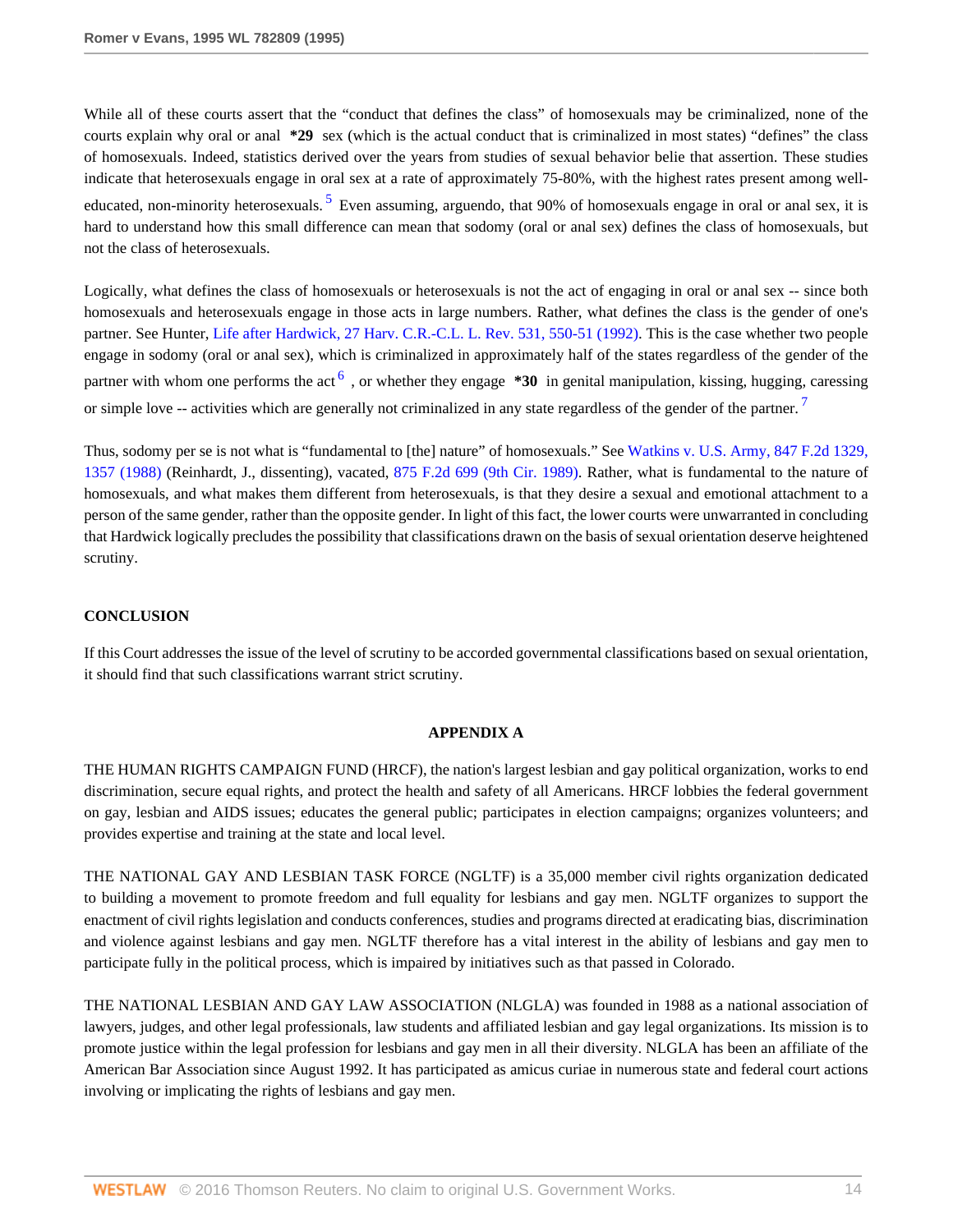<span id="page-13-0"></span>While all of these courts assert that the "conduct that defines the class" of homosexuals may be criminalized, none of the courts explain why oral or anal **\*29** sex (which is the actual conduct that is criminalized in most states) "defines" the class of homosexuals. Indeed, statistics derived over the years from studies of sexual behavior belie that assertion. These studies indicate that heterosexuals engage in oral sex at a rate of approximately 75-80%, with the highest rates present among well-educated, non-minority heterosexuals. <sup>[5](#page-16-2)</sup> Even assuming, arguendo, that 90% of homosexuals engage in oral or anal sex, it is hard to understand how this small difference can mean that sodomy (oral or anal sex) defines the class of homosexuals, but not the class of heterosexuals.

<span id="page-13-1"></span>Logically, what defines the class of homosexuals or heterosexuals is not the act of engaging in oral or anal sex -- since both homosexuals and heterosexuals engage in those acts in large numbers. Rather, what defines the class is the gender of one's partner. See Hunter, [Life after Hardwick, 27 Harv. C.R.-C.L. L. Rev. 531, 550-51 \(1992\)](http://www.westlaw.com/Link/Document/FullText?findType=Y&serNum=0102295004&pubNum=1151&originatingDoc=Ie6946d15482f11d9a5bfc0e3c4d1ea15&refType=LR&fi=co_pp_sp_1151_550&originationContext=document&vr=3.0&rs=cblt1.0&transitionType=DocumentItem&contextData=(sc.Search)#co_pp_sp_1151_550). This is the case whether two people engage in sodomy (oral or anal sex), which is criminalized in approximately half of the states regardless of the gender of the partner with whom one performs the act  $\frac{6}{1}$  $\frac{6}{1}$  $\frac{6}{1}$ , or whether they engage **\*30** in genital manipulation, kissing, hugging, caressing or simple love -- activities which are generally not criminalized in any state regardless of the gender of the partner.<sup>[7](#page-16-4)</sup>

Thus, sodomy per se is not what is "fundamental to [the] nature" of homosexuals." See [Watkins v. U.S. Army, 847 F.2d 1329,](http://www.westlaw.com/Link/Document/FullText?findType=Y&serNum=1988077384&pubNum=350&originatingDoc=Ie6946d15482f11d9a5bfc0e3c4d1ea15&refType=RP&fi=co_pp_sp_350_1357&originationContext=document&vr=3.0&rs=cblt1.0&transitionType=DocumentItem&contextData=(sc.Search)#co_pp_sp_350_1357) [1357 \(1988\)](http://www.westlaw.com/Link/Document/FullText?findType=Y&serNum=1988077384&pubNum=350&originatingDoc=Ie6946d15482f11d9a5bfc0e3c4d1ea15&refType=RP&fi=co_pp_sp_350_1357&originationContext=document&vr=3.0&rs=cblt1.0&transitionType=DocumentItem&contextData=(sc.Search)#co_pp_sp_350_1357) (Reinhardt, J., dissenting), vacated, [875 F.2d 699 \(9th Cir. 1989\).](http://www.westlaw.com/Link/Document/FullText?findType=Y&serNum=1989065840&pubNum=350&originatingDoc=Ie6946d15482f11d9a5bfc0e3c4d1ea15&refType=RP&originationContext=document&vr=3.0&rs=cblt1.0&transitionType=DocumentItem&contextData=(sc.Search)) Rather, what is fundamental to the nature of homosexuals, and what makes them different from heterosexuals, is that they desire a sexual and emotional attachment to a person of the same gender, rather than the opposite gender. In light of this fact, the lower courts were unwarranted in concluding that Hardwick logically precludes the possibility that classifications drawn on the basis of sexual orientation deserve heightened scrutiny.

## **CONCLUSION**

If this Court addresses the issue of the level of scrutiny to be accorded governmental classifications based on sexual orientation, it should find that such classifications warrant strict scrutiny.

### <span id="page-13-2"></span>**APPENDIX A**

THE HUMAN RIGHTS CAMPAIGN FUND (HRCF), the nation's largest lesbian and gay political organization, works to end discrimination, secure equal rights, and protect the health and safety of all Americans. HRCF lobbies the federal government on gay, lesbian and AIDS issues; educates the general public; participates in election campaigns; organizes volunteers; and provides expertise and training at the state and local level.

THE NATIONAL GAY AND LESBIAN TASK FORCE (NGLTF) is a 35,000 member civil rights organization dedicated to building a movement to promote freedom and full equality for lesbians and gay men. NGLTF organizes to support the enactment of civil rights legislation and conducts conferences, studies and programs directed at eradicating bias, discrimination and violence against lesbians and gay men. NGLTF therefore has a vital interest in the ability of lesbians and gay men to participate fully in the political process, which is impaired by initiatives such as that passed in Colorado.

THE NATIONAL LESBIAN AND GAY LAW ASSOCIATION (NLGLA) was founded in 1988 as a national association of lawyers, judges, and other legal professionals, law students and affiliated lesbian and gay legal organizations. Its mission is to promote justice within the legal profession for lesbians and gay men in all their diversity. NLGLA has been an affiliate of the American Bar Association since August 1992. It has participated as amicus curiae in numerous state and federal court actions involving or implicating the rights of lesbians and gay men.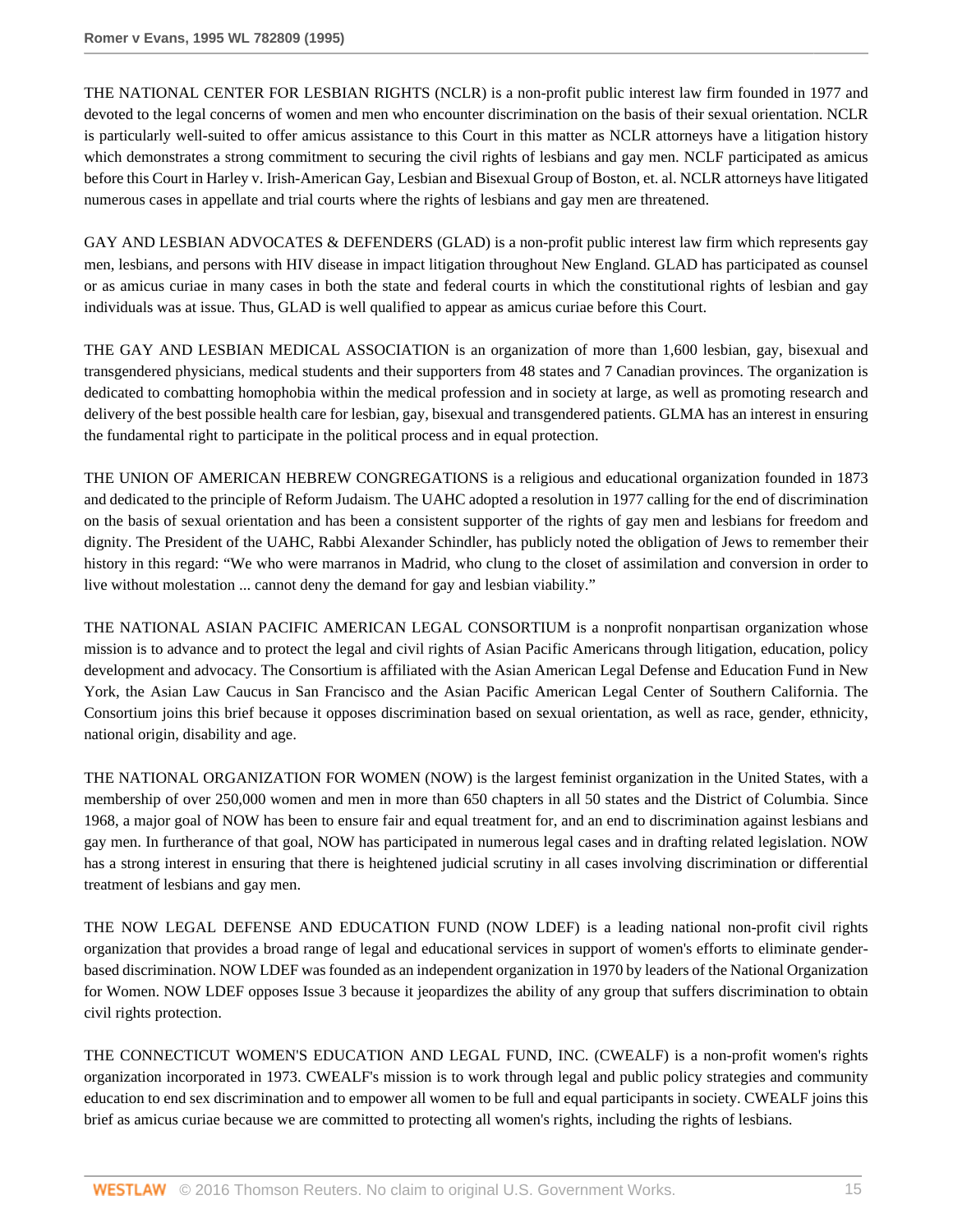THE NATIONAL CENTER FOR LESBIAN RIGHTS (NCLR) is a non-profit public interest law firm founded in 1977 and devoted to the legal concerns of women and men who encounter discrimination on the basis of their sexual orientation. NCLR is particularly well-suited to offer amicus assistance to this Court in this matter as NCLR attorneys have a litigation history which demonstrates a strong commitment to securing the civil rights of lesbians and gay men. NCLF participated as amicus before this Court in Harley v. Irish-American Gay, Lesbian and Bisexual Group of Boston, et. al. NCLR attorneys have litigated numerous cases in appellate and trial courts where the rights of lesbians and gay men are threatened.

GAY AND LESBIAN ADVOCATES & DEFENDERS (GLAD) is a non-profit public interest law firm which represents gay men, lesbians, and persons with HIV disease in impact litigation throughout New England. GLAD has participated as counsel or as amicus curiae in many cases in both the state and federal courts in which the constitutional rights of lesbian and gay individuals was at issue. Thus, GLAD is well qualified to appear as amicus curiae before this Court.

THE GAY AND LESBIAN MEDICAL ASSOCIATION is an organization of more than 1,600 lesbian, gay, bisexual and transgendered physicians, medical students and their supporters from 48 states and 7 Canadian provinces. The organization is dedicated to combatting homophobia within the medical profession and in society at large, as well as promoting research and delivery of the best possible health care for lesbian, gay, bisexual and transgendered patients. GLMA has an interest in ensuring the fundamental right to participate in the political process and in equal protection.

THE UNION OF AMERICAN HEBREW CONGREGATIONS is a religious and educational organization founded in 1873 and dedicated to the principle of Reform Judaism. The UAHC adopted a resolution in 1977 calling for the end of discrimination on the basis of sexual orientation and has been a consistent supporter of the rights of gay men and lesbians for freedom and dignity. The President of the UAHC, Rabbi Alexander Schindler, has publicly noted the obligation of Jews to remember their history in this regard: "We who were marranos in Madrid, who clung to the closet of assimilation and conversion in order to live without molestation ... cannot deny the demand for gay and lesbian viability."

THE NATIONAL ASIAN PACIFIC AMERICAN LEGAL CONSORTIUM is a nonprofit nonpartisan organization whose mission is to advance and to protect the legal and civil rights of Asian Pacific Americans through litigation, education, policy development and advocacy. The Consortium is affiliated with the Asian American Legal Defense and Education Fund in New York, the Asian Law Caucus in San Francisco and the Asian Pacific American Legal Center of Southern California. The Consortium joins this brief because it opposes discrimination based on sexual orientation, as well as race, gender, ethnicity, national origin, disability and age.

THE NATIONAL ORGANIZATION FOR WOMEN (NOW) is the largest feminist organization in the United States, with a membership of over 250,000 women and men in more than 650 chapters in all 50 states and the District of Columbia. Since 1968, a major goal of NOW has been to ensure fair and equal treatment for, and an end to discrimination against lesbians and gay men. In furtherance of that goal, NOW has participated in numerous legal cases and in drafting related legislation. NOW has a strong interest in ensuring that there is heightened judicial scrutiny in all cases involving discrimination or differential treatment of lesbians and gay men.

THE NOW LEGAL DEFENSE AND EDUCATION FUND (NOW LDEF) is a leading national non-profit civil rights organization that provides a broad range of legal and educational services in support of women's efforts to eliminate genderbased discrimination. NOW LDEF was founded as an independent organization in 1970 by leaders of the National Organization for Women. NOW LDEF opposes Issue 3 because it jeopardizes the ability of any group that suffers discrimination to obtain civil rights protection.

THE CONNECTICUT WOMEN'S EDUCATION AND LEGAL FUND, INC. (CWEALF) is a non-profit women's rights organization incorporated in 1973. CWEALF's mission is to work through legal and public policy strategies and community education to end sex discrimination and to empower all women to be full and equal participants in society. CWEALF joins this brief as amicus curiae because we are committed to protecting all women's rights, including the rights of lesbians.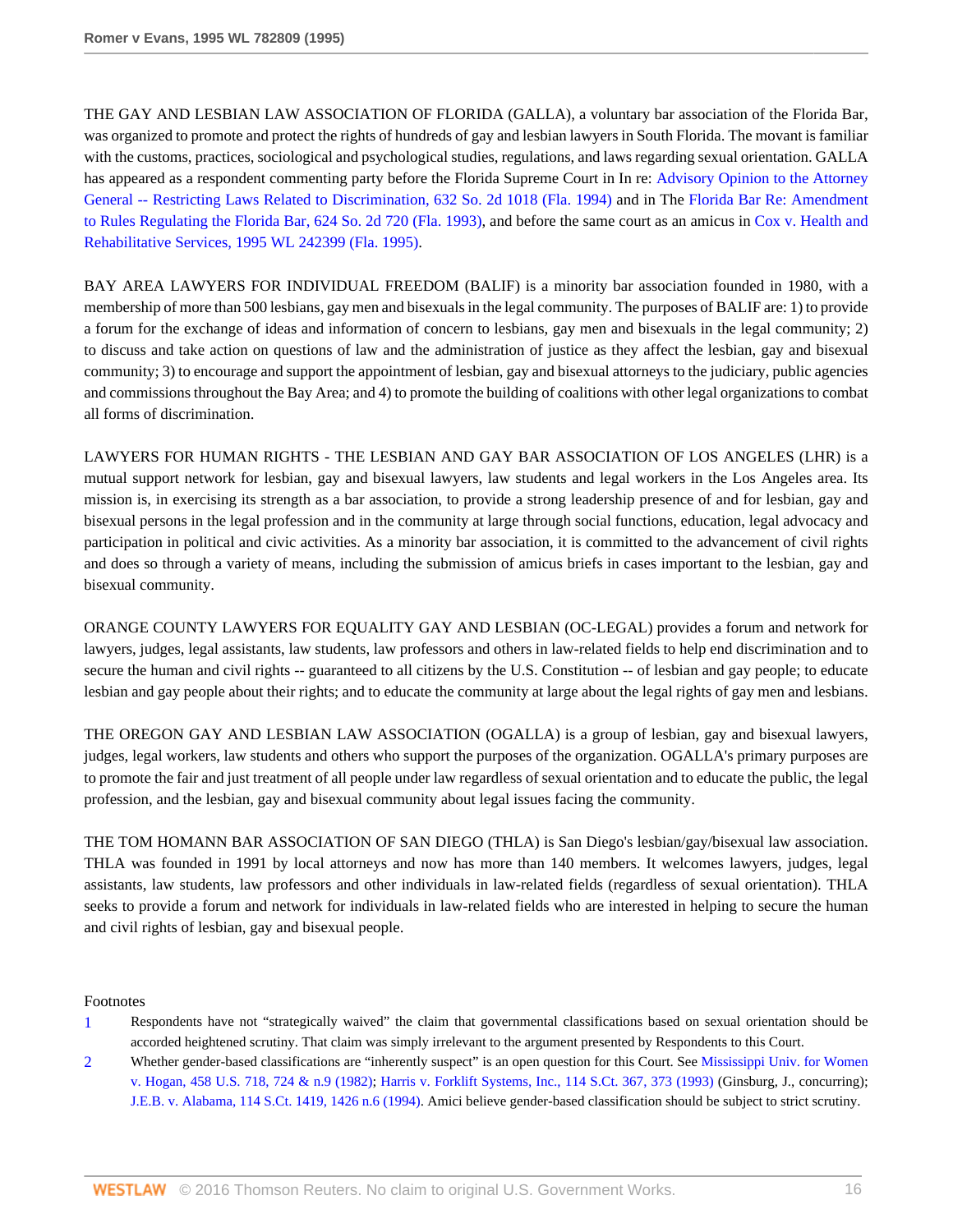THE GAY AND LESBIAN LAW ASSOCIATION OF FLORIDA (GALLA), a voluntary bar association of the Florida Bar, was organized to promote and protect the rights of hundreds of gay and lesbian lawyers in South Florida. The movant is familiar with the customs, practices, sociological and psychological studies, regulations, and laws regarding sexual orientation. GALLA has appeared as a respondent commenting party before the Florida Supreme Court in In re: [Advisory Opinion to the Attorney](http://www.westlaw.com/Link/Document/FullText?findType=Y&serNum=1994057062&pubNum=735&originatingDoc=Ie6946d15482f11d9a5bfc0e3c4d1ea15&refType=RP&originationContext=document&vr=3.0&rs=cblt1.0&transitionType=DocumentItem&contextData=(sc.Search)) [General -- Restricting Laws Related to Discrimination, 632 So. 2d 1018 \(Fla. 1994\)](http://www.westlaw.com/Link/Document/FullText?findType=Y&serNum=1994057062&pubNum=735&originatingDoc=Ie6946d15482f11d9a5bfc0e3c4d1ea15&refType=RP&originationContext=document&vr=3.0&rs=cblt1.0&transitionType=DocumentItem&contextData=(sc.Search)) and in The [Florida Bar Re: Amendment](http://www.westlaw.com/Link/Document/FullText?findType=Y&serNum=1993136994&pubNum=735&originatingDoc=Ie6946d15482f11d9a5bfc0e3c4d1ea15&refType=RP&originationContext=document&vr=3.0&rs=cblt1.0&transitionType=DocumentItem&contextData=(sc.Search)) [to Rules Regulating the Florida Bar, 624 So. 2d 720 \(Fla. 1993\),](http://www.westlaw.com/Link/Document/FullText?findType=Y&serNum=1993136994&pubNum=735&originatingDoc=Ie6946d15482f11d9a5bfc0e3c4d1ea15&refType=RP&originationContext=document&vr=3.0&rs=cblt1.0&transitionType=DocumentItem&contextData=(sc.Search)) and before the same court as an amicus in [Cox v. Health and](http://www.westlaw.com/Link/Document/FullText?findType=Y&serNum=1995097455&pubNum=0000999&originatingDoc=Ie6946d15482f11d9a5bfc0e3c4d1ea15&refType=RP&originationContext=document&vr=3.0&rs=cblt1.0&transitionType=DocumentItem&contextData=(sc.Search)) [Rehabilitative Services, 1995 WL 242399 \(Fla. 1995\).](http://www.westlaw.com/Link/Document/FullText?findType=Y&serNum=1995097455&pubNum=0000999&originatingDoc=Ie6946d15482f11d9a5bfc0e3c4d1ea15&refType=RP&originationContext=document&vr=3.0&rs=cblt1.0&transitionType=DocumentItem&contextData=(sc.Search))

BAY AREA LAWYERS FOR INDIVIDUAL FREEDOM (BALIF) is a minority bar association founded in 1980, with a membership of more than 500 lesbians, gay men and bisexuals in the legal community. The purposes of BALIF are: 1) to provide a forum for the exchange of ideas and information of concern to lesbians, gay men and bisexuals in the legal community; 2) to discuss and take action on questions of law and the administration of justice as they affect the lesbian, gay and bisexual community; 3) to encourage and support the appointment of lesbian, gay and bisexual attorneys to the judiciary, public agencies and commissions throughout the Bay Area; and 4) to promote the building of coalitions with other legal organizations to combat all forms of discrimination.

LAWYERS FOR HUMAN RIGHTS - THE LESBIAN AND GAY BAR ASSOCIATION OF LOS ANGELES (LHR) is a mutual support network for lesbian, gay and bisexual lawyers, law students and legal workers in the Los Angeles area. Its mission is, in exercising its strength as a bar association, to provide a strong leadership presence of and for lesbian, gay and bisexual persons in the legal profession and in the community at large through social functions, education, legal advocacy and participation in political and civic activities. As a minority bar association, it is committed to the advancement of civil rights and does so through a variety of means, including the submission of amicus briefs in cases important to the lesbian, gay and bisexual community.

ORANGE COUNTY LAWYERS FOR EQUALITY GAY AND LESBIAN (OC-LEGAL) provides a forum and network for lawyers, judges, legal assistants, law students, law professors and others in law-related fields to help end discrimination and to secure the human and civil rights -- guaranteed to all citizens by the U.S. Constitution -- of lesbian and gay people; to educate lesbian and gay people about their rights; and to educate the community at large about the legal rights of gay men and lesbians.

THE OREGON GAY AND LESBIAN LAW ASSOCIATION (OGALLA) is a group of lesbian, gay and bisexual lawyers, judges, legal workers, law students and others who support the purposes of the organization. OGALLA's primary purposes are to promote the fair and just treatment of all people under law regardless of sexual orientation and to educate the public, the legal profession, and the lesbian, gay and bisexual community about legal issues facing the community.

THE TOM HOMANN BAR ASSOCIATION OF SAN DIEGO (THLA) is San Diego's lesbian/gay/bisexual law association. THLA was founded in 1991 by local attorneys and now has more than 140 members. It welcomes lawyers, judges, legal assistants, law students, law professors and other individuals in law-related fields (regardless of sexual orientation). THLA seeks to provide a forum and network for individuals in law-related fields who are interested in helping to secure the human and civil rights of lesbian, gay and bisexual people.

Footnotes

- <span id="page-15-0"></span>[1](#page-4-0) Respondents have not "strategically waived" the claim that governmental classifications based on sexual orientation should be accorded heightened scrutiny. That claim was simply irrelevant to the argument presented by Respondents to this Court.
- <span id="page-15-1"></span>[2](#page-5-0) Whether gender-based classifications are "inherently suspect" is an open question for this Court. See [Mississippi Univ. for Women](http://www.westlaw.com/Link/Document/FullText?findType=Y&serNum=1982129570&pubNum=780&originatingDoc=Ie6946d15482f11d9a5bfc0e3c4d1ea15&refType=RP&fi=co_pp_sp_780_724&originationContext=document&vr=3.0&rs=cblt1.0&transitionType=DocumentItem&contextData=(sc.Search)#co_pp_sp_780_724) [v. Hogan, 458 U.S. 718, 724 & n.9 \(1982\);](http://www.westlaw.com/Link/Document/FullText?findType=Y&serNum=1982129570&pubNum=780&originatingDoc=Ie6946d15482f11d9a5bfc0e3c4d1ea15&refType=RP&fi=co_pp_sp_780_724&originationContext=document&vr=3.0&rs=cblt1.0&transitionType=DocumentItem&contextData=(sc.Search)#co_pp_sp_780_724) [Harris v. Forklift Systems, Inc., 114 S.Ct. 367, 373 \(1993\)](http://www.westlaw.com/Link/Document/FullText?findType=Y&serNum=1993212367&pubNum=708&originatingDoc=Ie6946d15482f11d9a5bfc0e3c4d1ea15&refType=RP&fi=co_pp_sp_708_373&originationContext=document&vr=3.0&rs=cblt1.0&transitionType=DocumentItem&contextData=(sc.Search)#co_pp_sp_708_373) (Ginsburg, J., concurring); [J.E.B. v. Alabama, 114 S.Ct. 1419, 1426 n.6 \(1994\)](http://www.westlaw.com/Link/Document/FullText?findType=Y&serNum=1994086673&pubNum=708&originatingDoc=Ie6946d15482f11d9a5bfc0e3c4d1ea15&refType=RP&fi=co_pp_sp_708_1426&originationContext=document&vr=3.0&rs=cblt1.0&transitionType=DocumentItem&contextData=(sc.Search)#co_pp_sp_708_1426). Amici believe gender-based classification should be subject to strict scrutiny.